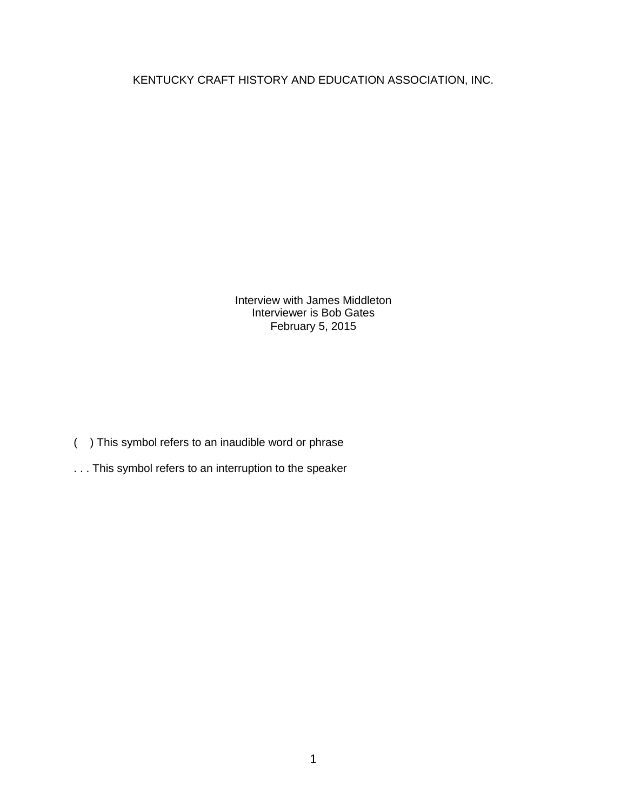KENTUCKY CRAFT HISTORY AND EDUCATION ASSOCIATION, INC.

Interview with James Middleton Interviewer is Bob Gates February 5, 2015

- ( ) This symbol refers to an inaudible word or phrase
- . . . This symbol refers to an interruption to the speaker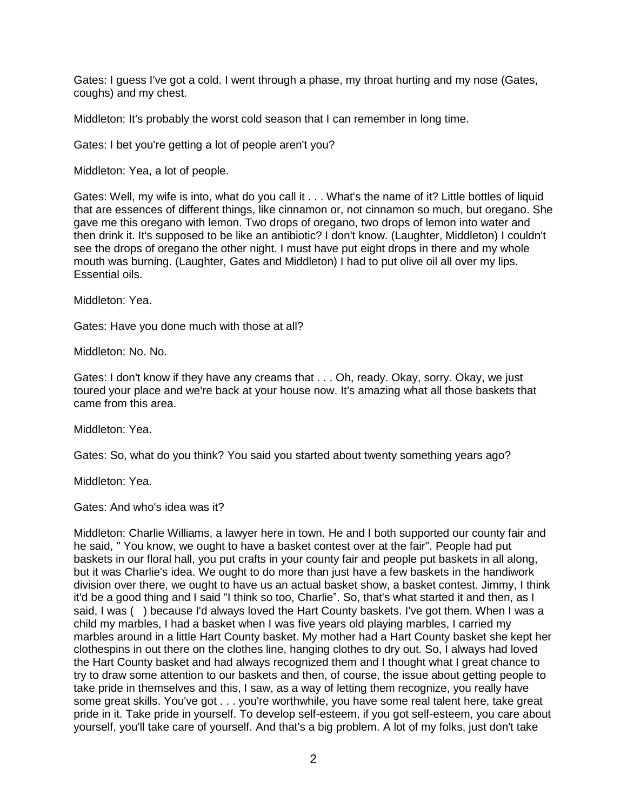Gates: I guess I've got a cold. I went through a phase, my throat hurting and my nose (Gates, coughs) and my chest.

Middleton: It's probably the worst cold season that I can remember in long time.

Gates: I bet you're getting a lot of people aren't you?

Middleton: Yea, a lot of people.

Gates: Well, my wife is into, what do you call it . . . What's the name of it? Little bottles of liquid that are essences of different things, like cinnamon or, not cinnamon so much, but oregano. She gave me this oregano with lemon. Two drops of oregano, two drops of lemon into water and then drink it. It's supposed to be like an antibiotic? I don't know. (Laughter, Middleton) I couldn't see the drops of oregano the other night. I must have put eight drops in there and my whole mouth was burning. (Laughter, Gates and Middleton) I had to put olive oil all over my lips. Essential oils.

Middleton: Yea.

Gates: Have you done much with those at all?

Middleton: No. No.

Gates: I don't know if they have any creams that . . . Oh, ready. Okay, sorry. Okay, we just toured your place and we're back at your house now. It's amazing what all those baskets that came from this area.

Middleton: Yea.

Gates: So, what do you think? You said you started about twenty something years ago?

Middleton: Yea.

Gates: And who's idea was it?

Middleton: Charlie Williams, a lawyer here in town. He and I both supported our county fair and he said, " You know, we ought to have a basket contest over at the fair". People had put baskets in our floral hall, you put crafts in your county fair and people put baskets in all along, but it was Charlie's idea. We ought to do more than just have a few baskets in the handiwork division over there, we ought to have us an actual basket show, a basket contest. Jimmy, I think it'd be a good thing and I said "I think so too, Charlie". So, that's what started it and then, as I said, I was () because I'd always loved the Hart County baskets. I've got them. When I was a child my marbles, I had a basket when I was five years old playing marbles, I carried my marbles around in a little Hart County basket. My mother had a Hart County basket she kept her clothespins in out there on the clothes line, hanging clothes to dry out. So, I always had loved the Hart County basket and had always recognized them and I thought what I great chance to try to draw some attention to our baskets and then, of course, the issue about getting people to take pride in themselves and this, I saw, as a way of letting them recognize, you really have some great skills. You've got . . . you're worthwhile, you have some real talent here, take great pride in it. Take pride in yourself. To develop self-esteem, if you got self-esteem, you care about yourself, you'll take care of yourself. And that's a big problem. A lot of my folks, just don't take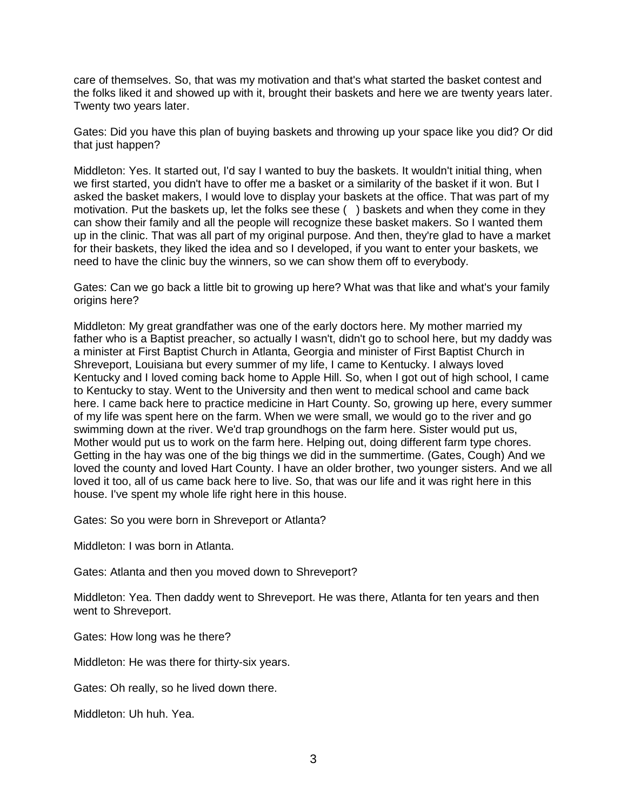care of themselves. So, that was my motivation and that's what started the basket contest and the folks liked it and showed up with it, brought their baskets and here we are twenty years later. Twenty two years later.

Gates: Did you have this plan of buying baskets and throwing up your space like you did? Or did that just happen?

Middleton: Yes. It started out, I'd say I wanted to buy the baskets. It wouldn't initial thing, when we first started, you didn't have to offer me a basket or a similarity of the basket if it won. But I asked the basket makers, I would love to display your baskets at the office. That was part of my motivation. Put the baskets up, let the folks see these ( ) baskets and when they come in they can show their family and all the people will recognize these basket makers. So I wanted them up in the clinic. That was all part of my original purpose. And then, they're glad to have a market for their baskets, they liked the idea and so I developed, if you want to enter your baskets, we need to have the clinic buy the winners, so we can show them off to everybody.

Gates: Can we go back a little bit to growing up here? What was that like and what's your family origins here?

Middleton: My great grandfather was one of the early doctors here. My mother married my father who is a Baptist preacher, so actually I wasn't, didn't go to school here, but my daddy was a minister at First Baptist Church in Atlanta, Georgia and minister of First Baptist Church in Shreveport, Louisiana but every summer of my life, I came to Kentucky. I always loved Kentucky and I loved coming back home to Apple Hill. So, when I got out of high school, I came to Kentucky to stay. Went to the University and then went to medical school and came back here. I came back here to practice medicine in Hart County. So, growing up here, every summer of my life was spent here on the farm. When we were small, we would go to the river and go swimming down at the river. We'd trap groundhogs on the farm here. Sister would put us, Mother would put us to work on the farm here. Helping out, doing different farm type chores. Getting in the hay was one of the big things we did in the summertime. (Gates, Cough) And we loved the county and loved Hart County. I have an older brother, two younger sisters. And we all loved it too, all of us came back here to live. So, that was our life and it was right here in this house. I've spent my whole life right here in this house.

Gates: So you were born in Shreveport or Atlanta?

Middleton: I was born in Atlanta.

Gates: Atlanta and then you moved down to Shreveport?

Middleton: Yea. Then daddy went to Shreveport. He was there, Atlanta for ten years and then went to Shreveport.

Gates: How long was he there?

Middleton: He was there for thirty-six years.

Gates: Oh really, so he lived down there.

Middleton: Uh huh. Yea.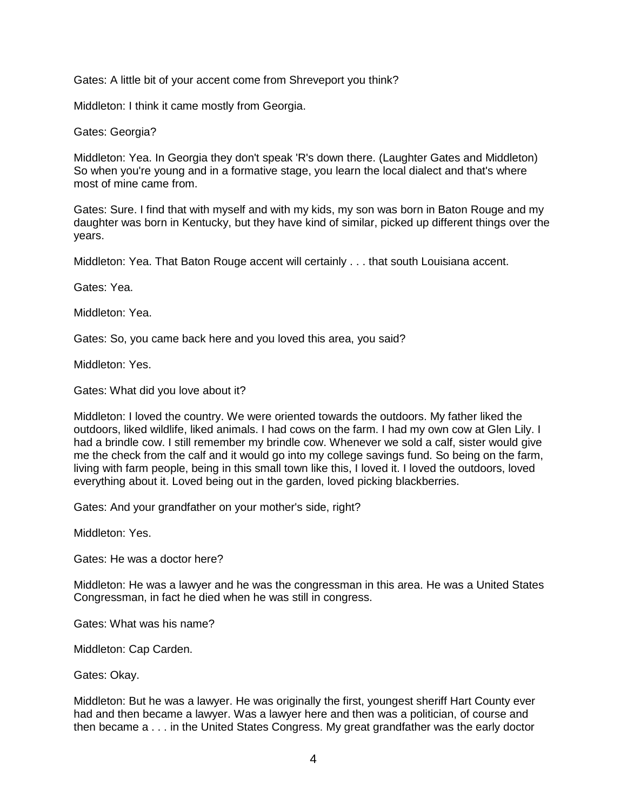Gates: A little bit of your accent come from Shreveport you think?

Middleton: I think it came mostly from Georgia.

Gates: Georgia?

Middleton: Yea. In Georgia they don't speak 'R's down there. (Laughter Gates and Middleton) So when you're young and in a formative stage, you learn the local dialect and that's where most of mine came from.

Gates: Sure. I find that with myself and with my kids, my son was born in Baton Rouge and my daughter was born in Kentucky, but they have kind of similar, picked up different things over the years.

Middleton: Yea. That Baton Rouge accent will certainly . . . that south Louisiana accent.

Gates: Yea.

Middleton: Yea.

Gates: So, you came back here and you loved this area, you said?

Middleton: Yes.

Gates: What did you love about it?

Middleton: I loved the country. We were oriented towards the outdoors. My father liked the outdoors, liked wildlife, liked animals. I had cows on the farm. I had my own cow at Glen Lily. I had a brindle cow. I still remember my brindle cow. Whenever we sold a calf, sister would give me the check from the calf and it would go into my college savings fund. So being on the farm, living with farm people, being in this small town like this, I loved it. I loved the outdoors, loved everything about it. Loved being out in the garden, loved picking blackberries.

Gates: And your grandfather on your mother's side, right?

Middleton: Yes.

Gates: He was a doctor here?

Middleton: He was a lawyer and he was the congressman in this area. He was a United States Congressman, in fact he died when he was still in congress.

Gates: What was his name?

Middleton: Cap Carden.

Gates: Okay.

Middleton: But he was a lawyer. He was originally the first, youngest sheriff Hart County ever had and then became a lawyer. Was a lawyer here and then was a politician, of course and then became a . . . in the United States Congress. My great grandfather was the early doctor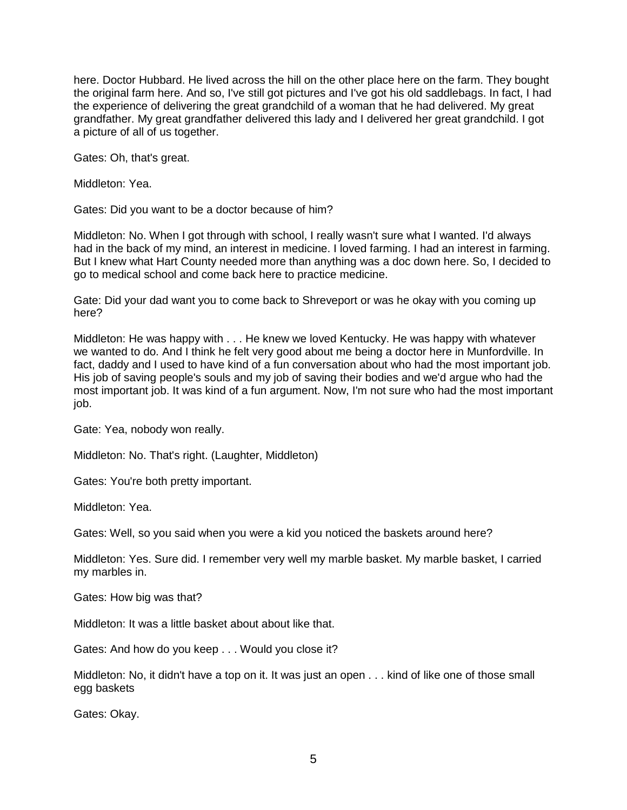here. Doctor Hubbard. He lived across the hill on the other place here on the farm. They bought the original farm here. And so, I've still got pictures and I've got his old saddlebags. In fact, I had the experience of delivering the great grandchild of a woman that he had delivered. My great grandfather. My great grandfather delivered this lady and I delivered her great grandchild. I got a picture of all of us together.

Gates: Oh, that's great.

Middleton: Yea.

Gates: Did you want to be a doctor because of him?

Middleton: No. When I got through with school, I really wasn't sure what I wanted. I'd always had in the back of my mind, an interest in medicine. I loved farming. I had an interest in farming. But I knew what Hart County needed more than anything was a doc down here. So, I decided to go to medical school and come back here to practice medicine.

Gate: Did your dad want you to come back to Shreveport or was he okay with you coming up here?

Middleton: He was happy with . . . He knew we loved Kentucky. He was happy with whatever we wanted to do. And I think he felt very good about me being a doctor here in Munfordville. In fact, daddy and I used to have kind of a fun conversation about who had the most important job. His job of saving people's souls and my job of saving their bodies and we'd argue who had the most important job. It was kind of a fun argument. Now, I'm not sure who had the most important iob.

Gate: Yea, nobody won really.

Middleton: No. That's right. (Laughter, Middleton)

Gates: You're both pretty important.

Middleton: Yea.

Gates: Well, so you said when you were a kid you noticed the baskets around here?

Middleton: Yes. Sure did. I remember very well my marble basket. My marble basket, I carried my marbles in.

Gates: How big was that?

Middleton: It was a little basket about about like that.

Gates: And how do you keep . . . Would you close it?

Middleton: No, it didn't have a top on it. It was just an open . . . kind of like one of those small egg baskets

Gates: Okay.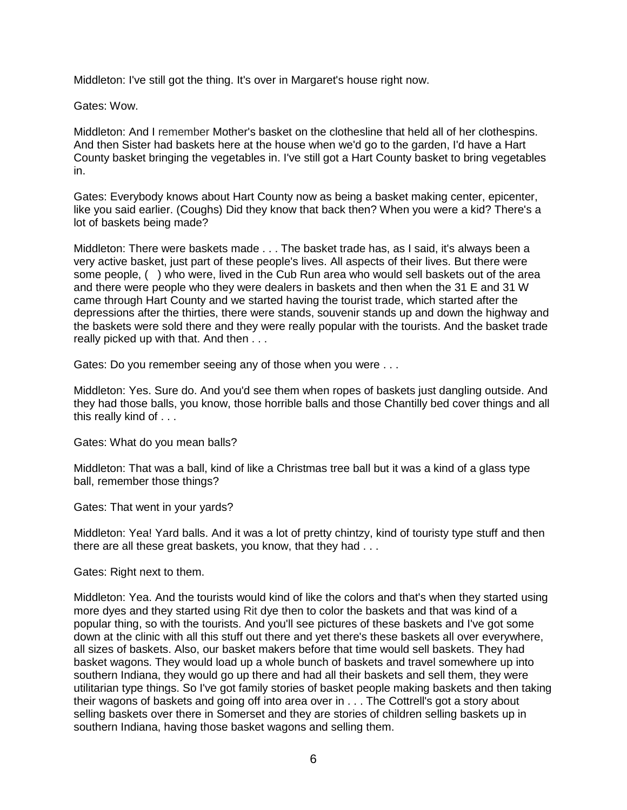Middleton: I've still got the thing. It's over in Margaret's house right now.

Gates: Wow.

Middleton: And I remember Mother's basket on the clothesline that held all of her clothespins. And then Sister had baskets here at the house when we'd go to the garden, I'd have a Hart County basket bringing the vegetables in. I've still got a Hart County basket to bring vegetables in.

Gates: Everybody knows about Hart County now as being a basket making center, epicenter, like you said earlier. (Coughs) Did they know that back then? When you were a kid? There's a lot of baskets being made?

Middleton: There were baskets made . . . The basket trade has, as I said, it's always been a very active basket, just part of these people's lives. All aspects of their lives. But there were some people, ( ) who were, lived in the Cub Run area who would sell baskets out of the area and there were people who they were dealers in baskets and then when the 31 E and 31 W came through Hart County and we started having the tourist trade, which started after the depressions after the thirties, there were stands, souvenir stands up and down the highway and the baskets were sold there and they were really popular with the tourists. And the basket trade really picked up with that. And then . . .

Gates: Do you remember seeing any of those when you were . . .

Middleton: Yes. Sure do. And you'd see them when ropes of baskets just dangling outside. And they had those balls, you know, those horrible balls and those Chantilly bed cover things and all this really kind of . . .

Gates: What do you mean balls?

Middleton: That was a ball, kind of like a Christmas tree ball but it was a kind of a glass type ball, remember those things?

Gates: That went in your yards?

Middleton: Yea! Yard balls. And it was a lot of pretty chintzy, kind of touristy type stuff and then there are all these great baskets, you know, that they had . . .

Gates: Right next to them.

Middleton: Yea. And the tourists would kind of like the colors and that's when they started using more dyes and they started using Rit dye then to color the baskets and that was kind of a popular thing, so with the tourists. And you'll see pictures of these baskets and I've got some down at the clinic with all this stuff out there and yet there's these baskets all over everywhere, all sizes of baskets. Also, our basket makers before that time would sell baskets. They had basket wagons. They would load up a whole bunch of baskets and travel somewhere up into southern Indiana, they would go up there and had all their baskets and sell them, they were utilitarian type things. So I've got family stories of basket people making baskets and then taking their wagons of baskets and going off into area over in . . . The Cottrell's got a story about selling baskets over there in Somerset and they are stories of children selling baskets up in southern Indiana, having those basket wagons and selling them.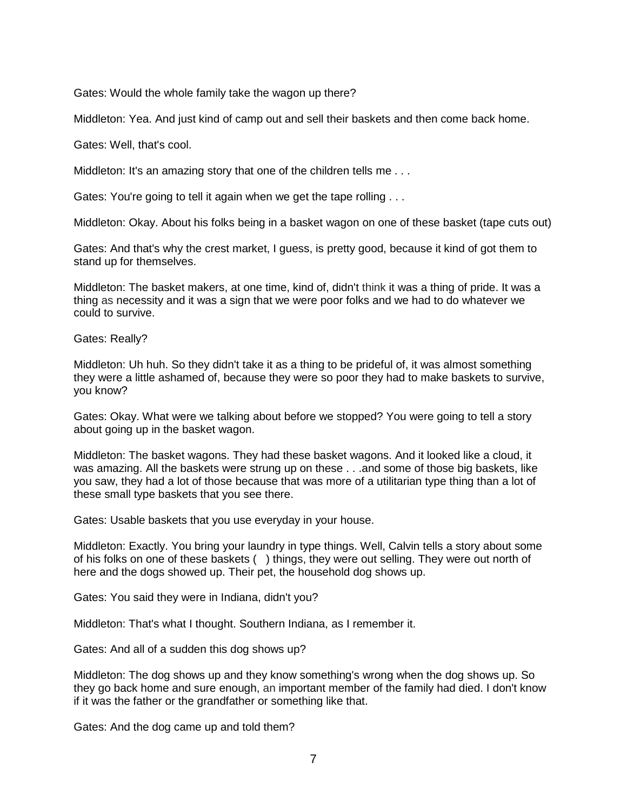Gates: Would the whole family take the wagon up there?

Middleton: Yea. And just kind of camp out and sell their baskets and then come back home.

Gates: Well, that's cool.

Middleton: It's an amazing story that one of the children tells me...

Gates: You're going to tell it again when we get the tape rolling . . .

Middleton: Okay. About his folks being in a basket wagon on one of these basket (tape cuts out)

Gates: And that's why the crest market, I guess, is pretty good, because it kind of got them to stand up for themselves.

Middleton: The basket makers, at one time, kind of, didn't think it was a thing of pride. It was a thing as necessity and it was a sign that we were poor folks and we had to do whatever we could to survive.

Gates: Really?

Middleton: Uh huh. So they didn't take it as a thing to be prideful of, it was almost something they were a little ashamed of, because they were so poor they had to make baskets to survive, you know?

Gates: Okay. What were we talking about before we stopped? You were going to tell a story about going up in the basket wagon.

Middleton: The basket wagons. They had these basket wagons. And it looked like a cloud, it was amazing. All the baskets were strung up on these . . .and some of those big baskets, like you saw, they had a lot of those because that was more of a utilitarian type thing than a lot of these small type baskets that you see there.

Gates: Usable baskets that you use everyday in your house.

Middleton: Exactly. You bring your laundry in type things. Well, Calvin tells a story about some of his folks on one of these baskets ( ) things, they were out selling. They were out north of here and the dogs showed up. Their pet, the household dog shows up.

Gates: You said they were in Indiana, didn't you?

Middleton: That's what I thought. Southern Indiana, as I remember it.

Gates: And all of a sudden this dog shows up?

Middleton: The dog shows up and they know something's wrong when the dog shows up. So they go back home and sure enough, an important member of the family had died. I don't know if it was the father or the grandfather or something like that.

Gates: And the dog came up and told them?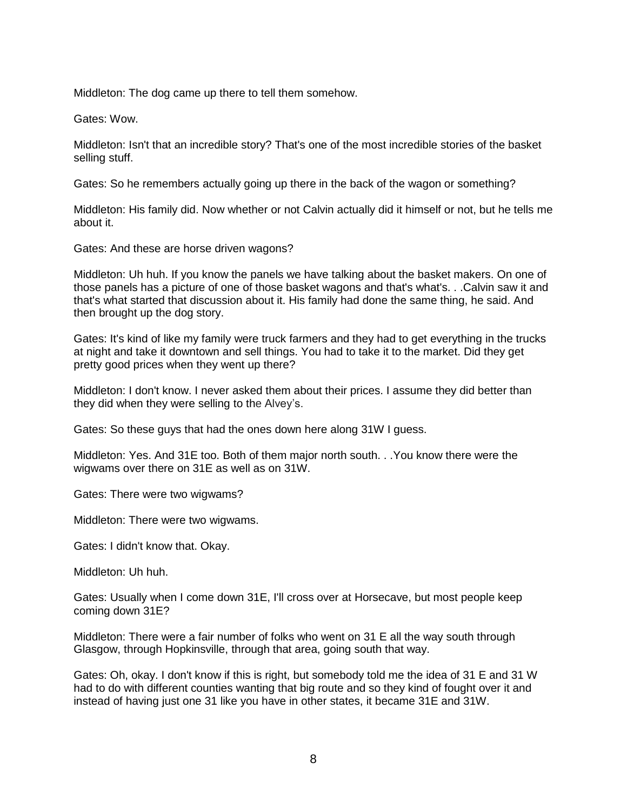Middleton: The dog came up there to tell them somehow.

Gates: Wow.

Middleton: Isn't that an incredible story? That's one of the most incredible stories of the basket selling stuff.

Gates: So he remembers actually going up there in the back of the wagon or something?

Middleton: His family did. Now whether or not Calvin actually did it himself or not, but he tells me about it.

Gates: And these are horse driven wagons?

Middleton: Uh huh. If you know the panels we have talking about the basket makers. On one of those panels has a picture of one of those basket wagons and that's what's. . .Calvin saw it and that's what started that discussion about it. His family had done the same thing, he said. And then brought up the dog story.

Gates: It's kind of like my family were truck farmers and they had to get everything in the trucks at night and take it downtown and sell things. You had to take it to the market. Did they get pretty good prices when they went up there?

Middleton: I don't know. I never asked them about their prices. I assume they did better than they did when they were selling to the Alvey's.

Gates: So these guys that had the ones down here along 31W I guess.

Middleton: Yes. And 31E too. Both of them major north south. . .You know there were the wigwams over there on 31E as well as on 31W.

Gates: There were two wigwams?

Middleton: There were two wigwams.

Gates: I didn't know that. Okay.

Middleton: Uh huh.

Gates: Usually when I come down 31E, I'll cross over at Horsecave, but most people keep coming down 31E?

Middleton: There were a fair number of folks who went on 31 E all the way south through Glasgow, through Hopkinsville, through that area, going south that way.

Gates: Oh, okay. I don't know if this is right, but somebody told me the idea of 31 E and 31 W had to do with different counties wanting that big route and so they kind of fought over it and instead of having just one 31 like you have in other states, it became 31E and 31W.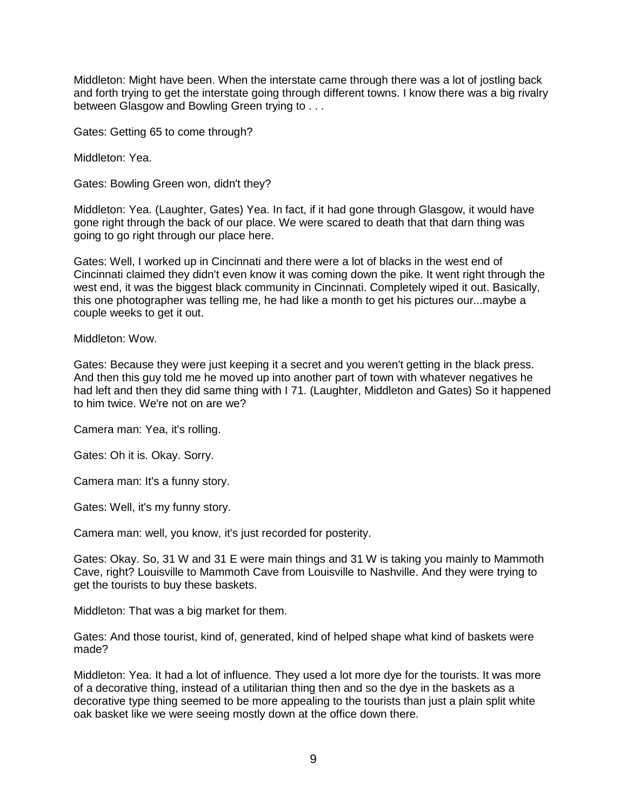Middleton: Might have been. When the interstate came through there was a lot of jostling back and forth trying to get the interstate going through different towns. I know there was a big rivalry between Glasgow and Bowling Green trying to . . .

Gates: Getting 65 to come through?

Middleton: Yea.

Gates: Bowling Green won, didn't they?

Middleton: Yea. (Laughter, Gates) Yea. In fact, if it had gone through Glasgow, it would have gone right through the back of our place. We were scared to death that that darn thing was going to go right through our place here.

Gates: Well, I worked up in Cincinnati and there were a lot of blacks in the west end of Cincinnati claimed they didn't even know it was coming down the pike. It went right through the west end, it was the biggest black community in Cincinnati. Completely wiped it out. Basically, this one photographer was telling me, he had like a month to get his pictures our...maybe a couple weeks to get it out.

## Middleton: Wow.

Gates: Because they were just keeping it a secret and you weren't getting in the black press. And then this guy told me he moved up into another part of town with whatever negatives he had left and then they did same thing with I 71. (Laughter, Middleton and Gates) So it happened to him twice. We're not on are we?

Camera man: Yea, it's rolling.

Gates: Oh it is. Okay. Sorry.

Camera man: It's a funny story.

Gates: Well, it's my funny story.

Camera man: well, you know, it's just recorded for posterity.

Gates: Okay. So, 31 W and 31 E were main things and 31 W is taking you mainly to Mammoth Cave, right? Louisville to Mammoth Cave from Louisville to Nashville. And they were trying to get the tourists to buy these baskets.

Middleton: That was a big market for them.

Gates: And those tourist, kind of, generated, kind of helped shape what kind of baskets were made?

Middleton: Yea. It had a lot of influence. They used a lot more dye for the tourists. It was more of a decorative thing, instead of a utilitarian thing then and so the dye in the baskets as a decorative type thing seemed to be more appealing to the tourists than just a plain split white oak basket like we were seeing mostly down at the office down there.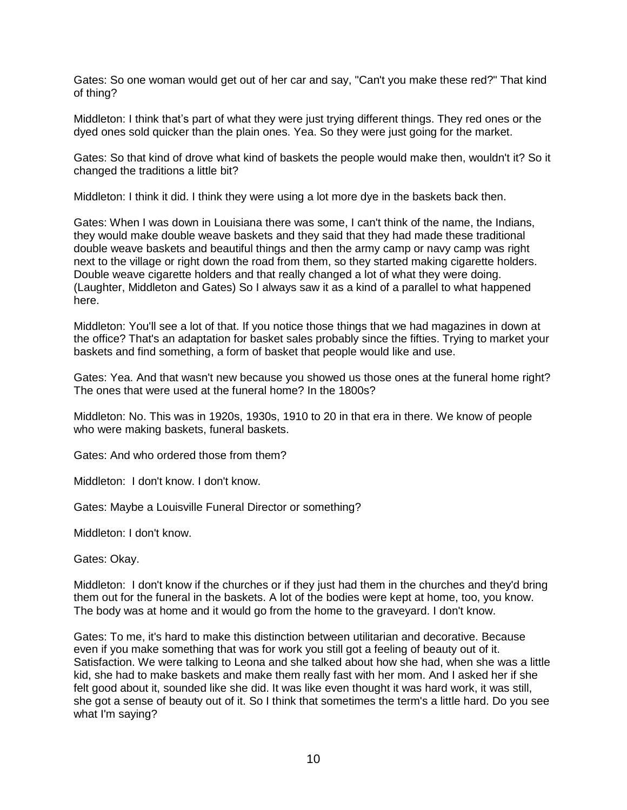Gates: So one woman would get out of her car and say, "Can't you make these red?" That kind of thing?

Middleton: I think that's part of what they were just trying different things. They red ones or the dyed ones sold quicker than the plain ones. Yea. So they were just going for the market.

Gates: So that kind of drove what kind of baskets the people would make then, wouldn't it? So it changed the traditions a little bit?

Middleton: I think it did. I think they were using a lot more dye in the baskets back then.

Gates: When I was down in Louisiana there was some, I can't think of the name, the Indians, they would make double weave baskets and they said that they had made these traditional double weave baskets and beautiful things and then the army camp or navy camp was right next to the village or right down the road from them, so they started making cigarette holders. Double weave cigarette holders and that really changed a lot of what they were doing. (Laughter, Middleton and Gates) So I always saw it as a kind of a parallel to what happened here.

Middleton: You'll see a lot of that. If you notice those things that we had magazines in down at the office? That's an adaptation for basket sales probably since the fifties. Trying to market your baskets and find something, a form of basket that people would like and use.

Gates: Yea. And that wasn't new because you showed us those ones at the funeral home right? The ones that were used at the funeral home? In the 1800s?

Middleton: No. This was in 1920s, 1930s, 1910 to 20 in that era in there. We know of people who were making baskets, funeral baskets.

Gates: And who ordered those from them?

Middleton: I don't know. I don't know.

Gates: Maybe a Louisville Funeral Director or something?

Middleton: I don't know.

Gates: Okay.

Middleton: I don't know if the churches or if they just had them in the churches and they'd bring them out for the funeral in the baskets. A lot of the bodies were kept at home, too, you know. The body was at home and it would go from the home to the graveyard. I don't know.

Gates: To me, it's hard to make this distinction between utilitarian and decorative. Because even if you make something that was for work you still got a feeling of beauty out of it. Satisfaction. We were talking to Leona and she talked about how she had, when she was a little kid, she had to make baskets and make them really fast with her mom. And I asked her if she felt good about it, sounded like she did. It was like even thought it was hard work, it was still, she got a sense of beauty out of it. So I think that sometimes the term's a little hard. Do you see what I'm saying?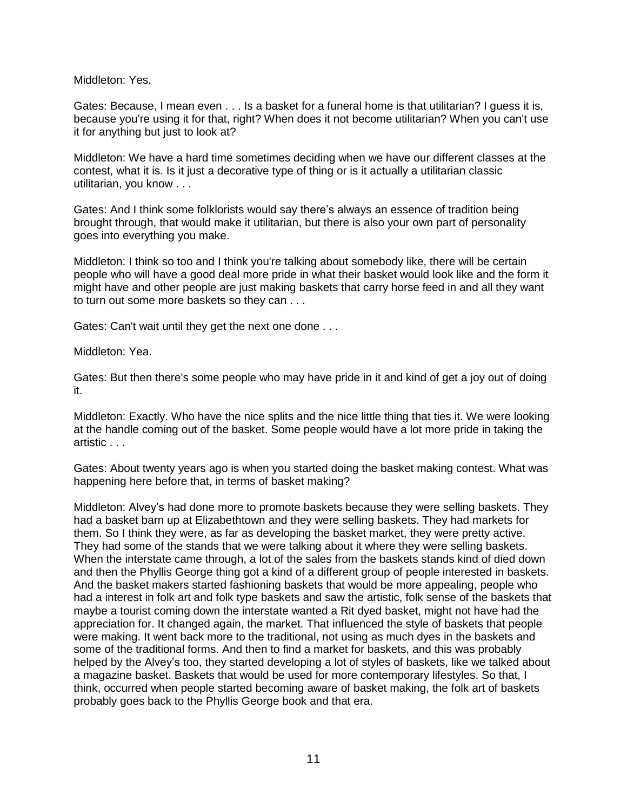Middleton: Yes.

Gates: Because, I mean even . . . Is a basket for a funeral home is that utilitarian? I guess it is, because you're using it for that, right? When does it not become utilitarian? When you can't use it for anything but just to look at?

Middleton: We have a hard time sometimes deciding when we have our different classes at the contest, what it is. Is it just a decorative type of thing or is it actually a utilitarian classic utilitarian, you know . . .

Gates: And I think some folklorists would say there's always an essence of tradition being brought through, that would make it utilitarian, but there is also your own part of personality goes into everything you make.

Middleton: I think so too and I think you're talking about somebody like, there will be certain people who will have a good deal more pride in what their basket would look like and the form it might have and other people are just making baskets that carry horse feed in and all they want to turn out some more baskets so they can . . .

Gates: Can't wait until they get the next one done . . .

Middleton: Yea.

Gates: But then there's some people who may have pride in it and kind of get a joy out of doing it.

Middleton: Exactly. Who have the nice splits and the nice little thing that ties it. We were looking at the handle coming out of the basket. Some people would have a lot more pride in taking the artistic . . .

Gates: About twenty years ago is when you started doing the basket making contest. What was happening here before that, in terms of basket making?

Middleton: Alvey's had done more to promote baskets because they were selling baskets. They had a basket barn up at Elizabethtown and they were selling baskets. They had markets for them. So I think they were, as far as developing the basket market, they were pretty active. They had some of the stands that we were talking about it where they were selling baskets. When the interstate came through, a lot of the sales from the baskets stands kind of died down and then the Phyllis George thing got a kind of a different group of people interested in baskets. And the basket makers started fashioning baskets that would be more appealing, people who had a interest in folk art and folk type baskets and saw the artistic, folk sense of the baskets that maybe a tourist coming down the interstate wanted a Rit dyed basket, might not have had the appreciation for. It changed again, the market. That influenced the style of baskets that people were making. It went back more to the traditional, not using as much dyes in the baskets and some of the traditional forms. And then to find a market for baskets, and this was probably helped by the Alvey's too, they started developing a lot of styles of baskets, like we talked about a magazine basket. Baskets that would be used for more contemporary lifestyles. So that, I think, occurred when people started becoming aware of basket making, the folk art of baskets probably goes back to the Phyllis George book and that era.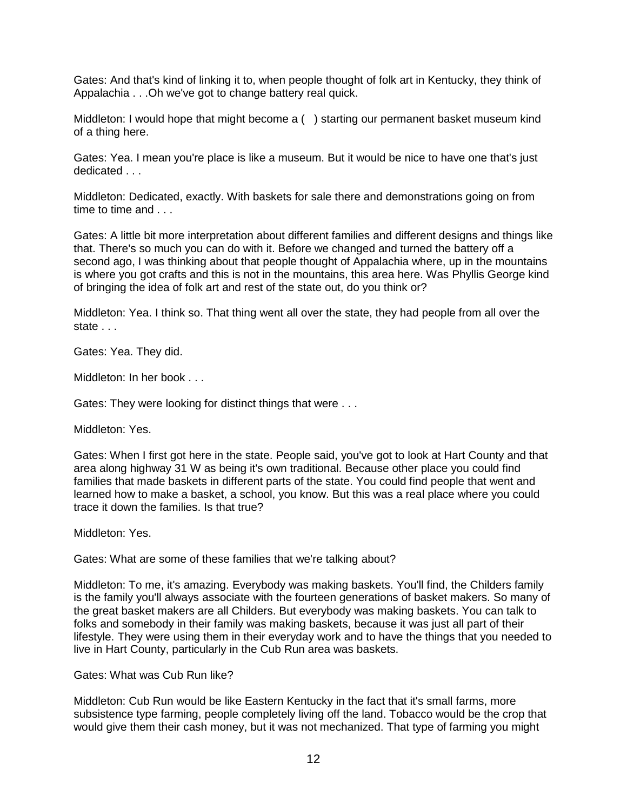Gates: And that's kind of linking it to, when people thought of folk art in Kentucky, they think of Appalachia . . .Oh we've got to change battery real quick.

Middleton: I would hope that might become a ( ) starting our permanent basket museum kind of a thing here.

Gates: Yea. I mean you're place is like a museum. But it would be nice to have one that's just dedicated . . .

Middleton: Dedicated, exactly. With baskets for sale there and demonstrations going on from time to time and . . .

Gates: A little bit more interpretation about different families and different designs and things like that. There's so much you can do with it. Before we changed and turned the battery off a second ago, I was thinking about that people thought of Appalachia where, up in the mountains is where you got crafts and this is not in the mountains, this area here. Was Phyllis George kind of bringing the idea of folk art and rest of the state out, do you think or?

Middleton: Yea. I think so. That thing went all over the state, they had people from all over the state . . .

Gates: Yea. They did.

Middleton: In her book . . .

Gates: They were looking for distinct things that were . . .

Middleton: Yes.

Gates: When I first got here in the state. People said, you've got to look at Hart County and that area along highway 31 W as being it's own traditional. Because other place you could find families that made baskets in different parts of the state. You could find people that went and learned how to make a basket, a school, you know. But this was a real place where you could trace it down the families. Is that true?

Middleton: Yes.

Gates: What are some of these families that we're talking about?

Middleton: To me, it's amazing. Everybody was making baskets. You'll find, the Childers family is the family you'll always associate with the fourteen generations of basket makers. So many of the great basket makers are all Childers. But everybody was making baskets. You can talk to folks and somebody in their family was making baskets, because it was just all part of their lifestyle. They were using them in their everyday work and to have the things that you needed to live in Hart County, particularly in the Cub Run area was baskets.

Gates: What was Cub Run like?

Middleton: Cub Run would be like Eastern Kentucky in the fact that it's small farms, more subsistence type farming, people completely living off the land. Tobacco would be the crop that would give them their cash money, but it was not mechanized. That type of farming you might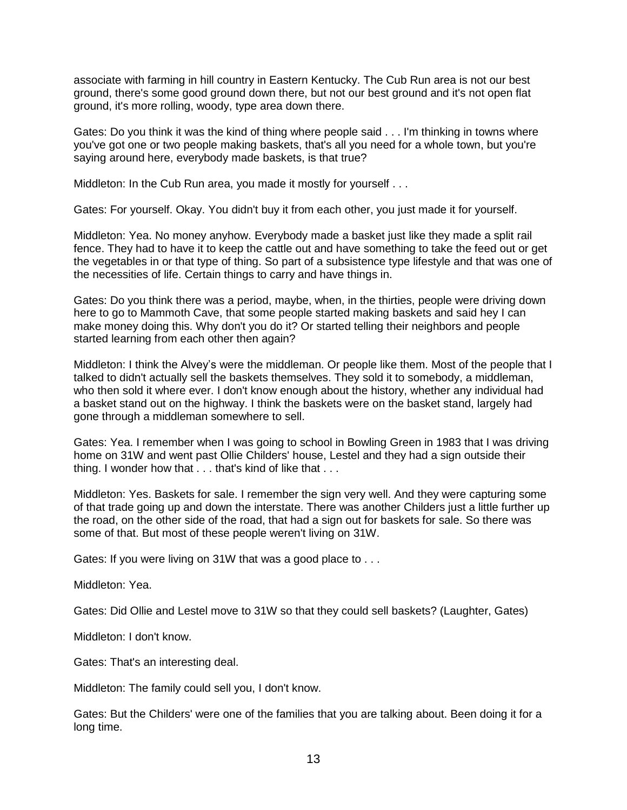associate with farming in hill country in Eastern Kentucky. The Cub Run area is not our best ground, there's some good ground down there, but not our best ground and it's not open flat ground, it's more rolling, woody, type area down there.

Gates: Do you think it was the kind of thing where people said . . . I'm thinking in towns where you've got one or two people making baskets, that's all you need for a whole town, but you're saying around here, everybody made baskets, is that true?

Middleton: In the Cub Run area, you made it mostly for yourself . . .

Gates: For yourself. Okay. You didn't buy it from each other, you just made it for yourself.

Middleton: Yea. No money anyhow. Everybody made a basket just like they made a split rail fence. They had to have it to keep the cattle out and have something to take the feed out or get the vegetables in or that type of thing. So part of a subsistence type lifestyle and that was one of the necessities of life. Certain things to carry and have things in.

Gates: Do you think there was a period, maybe, when, in the thirties, people were driving down here to go to Mammoth Cave, that some people started making baskets and said hey I can make money doing this. Why don't you do it? Or started telling their neighbors and people started learning from each other then again?

Middleton: I think the Alvey's were the middleman. Or people like them. Most of the people that I talked to didn't actually sell the baskets themselves. They sold it to somebody, a middleman, who then sold it where ever. I don't know enough about the history, whether any individual had a basket stand out on the highway. I think the baskets were on the basket stand, largely had gone through a middleman somewhere to sell.

Gates: Yea. I remember when I was going to school in Bowling Green in 1983 that I was driving home on 31W and went past Ollie Childers' house, Lestel and they had a sign outside their thing. I wonder how that . . . that's kind of like that . . .

Middleton: Yes. Baskets for sale. I remember the sign very well. And they were capturing some of that trade going up and down the interstate. There was another Childers just a little further up the road, on the other side of the road, that had a sign out for baskets for sale. So there was some of that. But most of these people weren't living on 31W.

Gates: If you were living on 31W that was a good place to . . .

Middleton: Yea.

Gates: Did Ollie and Lestel move to 31W so that they could sell baskets? (Laughter, Gates)

Middleton: I don't know.

Gates: That's an interesting deal.

Middleton: The family could sell you, I don't know.

Gates: But the Childers' were one of the families that you are talking about. Been doing it for a long time.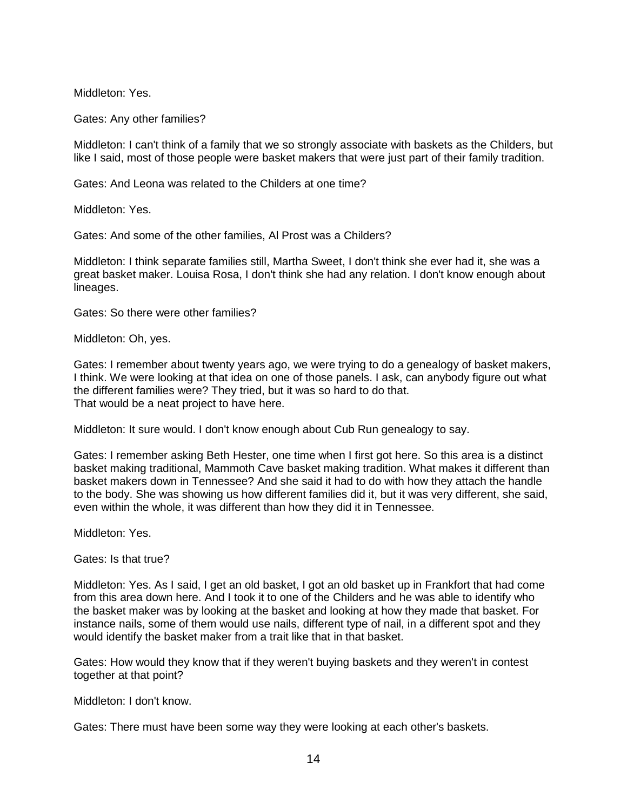Middleton: Yes.

Gates: Any other families?

Middleton: I can't think of a family that we so strongly associate with baskets as the Childers, but like I said, most of those people were basket makers that were just part of their family tradition.

Gates: And Leona was related to the Childers at one time?

Middleton: Yes.

Gates: And some of the other families, Al Prost was a Childers?

Middleton: I think separate families still, Martha Sweet, I don't think she ever had it, she was a great basket maker. Louisa Rosa, I don't think she had any relation. I don't know enough about lineages.

Gates: So there were other families?

Middleton: Oh, yes.

Gates: I remember about twenty years ago, we were trying to do a genealogy of basket makers, I think. We were looking at that idea on one of those panels. I ask, can anybody figure out what the different families were? They tried, but it was so hard to do that. That would be a neat project to have here.

Middleton: It sure would. I don't know enough about Cub Run genealogy to say.

Gates: I remember asking Beth Hester, one time when I first got here. So this area is a distinct basket making traditional, Mammoth Cave basket making tradition. What makes it different than basket makers down in Tennessee? And she said it had to do with how they attach the handle to the body. She was showing us how different families did it, but it was very different, she said, even within the whole, it was different than how they did it in Tennessee.

Middleton: Yes.

Gates: Is that true?

Middleton: Yes. As I said, I get an old basket, I got an old basket up in Frankfort that had come from this area down here. And I took it to one of the Childers and he was able to identify who the basket maker was by looking at the basket and looking at how they made that basket. For instance nails, some of them would use nails, different type of nail, in a different spot and they would identify the basket maker from a trait like that in that basket.

Gates: How would they know that if they weren't buying baskets and they weren't in contest together at that point?

Middleton: I don't know.

Gates: There must have been some way they were looking at each other's baskets.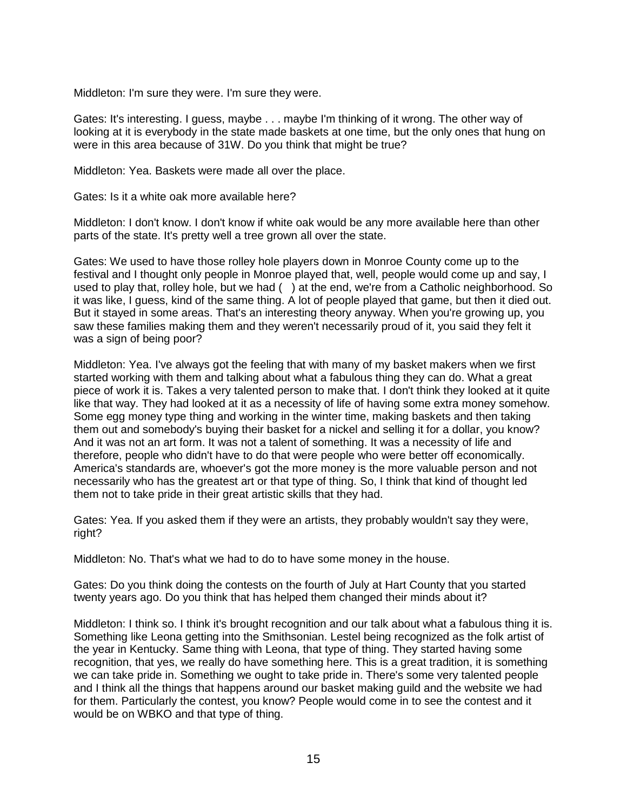Middleton: I'm sure they were. I'm sure they were.

Gates: It's interesting. I guess, maybe . . . maybe I'm thinking of it wrong. The other way of looking at it is everybody in the state made baskets at one time, but the only ones that hung on were in this area because of 31W. Do you think that might be true?

Middleton: Yea. Baskets were made all over the place.

Gates: Is it a white oak more available here?

Middleton: I don't know. I don't know if white oak would be any more available here than other parts of the state. It's pretty well a tree grown all over the state.

Gates: We used to have those rolley hole players down in Monroe County come up to the festival and I thought only people in Monroe played that, well, people would come up and say, I used to play that, rolley hole, but we had () at the end, we're from a Catholic neighborhood. So it was like, I guess, kind of the same thing. A lot of people played that game, but then it died out. But it stayed in some areas. That's an interesting theory anyway. When you're growing up, you saw these families making them and they weren't necessarily proud of it, you said they felt it was a sign of being poor?

Middleton: Yea. I've always got the feeling that with many of my basket makers when we first started working with them and talking about what a fabulous thing they can do. What a great piece of work it is. Takes a very talented person to make that. I don't think they looked at it quite like that way. They had looked at it as a necessity of life of having some extra money somehow. Some egg money type thing and working in the winter time, making baskets and then taking them out and somebody's buying their basket for a nickel and selling it for a dollar, you know? And it was not an art form. It was not a talent of something. It was a necessity of life and therefore, people who didn't have to do that were people who were better off economically. America's standards are, whoever's got the more money is the more valuable person and not necessarily who has the greatest art or that type of thing. So, I think that kind of thought led them not to take pride in their great artistic skills that they had.

Gates: Yea. If you asked them if they were an artists, they probably wouldn't say they were, right?

Middleton: No. That's what we had to do to have some money in the house.

Gates: Do you think doing the contests on the fourth of July at Hart County that you started twenty years ago. Do you think that has helped them changed their minds about it?

Middleton: I think so. I think it's brought recognition and our talk about what a fabulous thing it is. Something like Leona getting into the Smithsonian. Lestel being recognized as the folk artist of the year in Kentucky. Same thing with Leona, that type of thing. They started having some recognition, that yes, we really do have something here. This is a great tradition, it is something we can take pride in. Something we ought to take pride in. There's some very talented people and I think all the things that happens around our basket making guild and the website we had for them. Particularly the contest, you know? People would come in to see the contest and it would be on WBKO and that type of thing.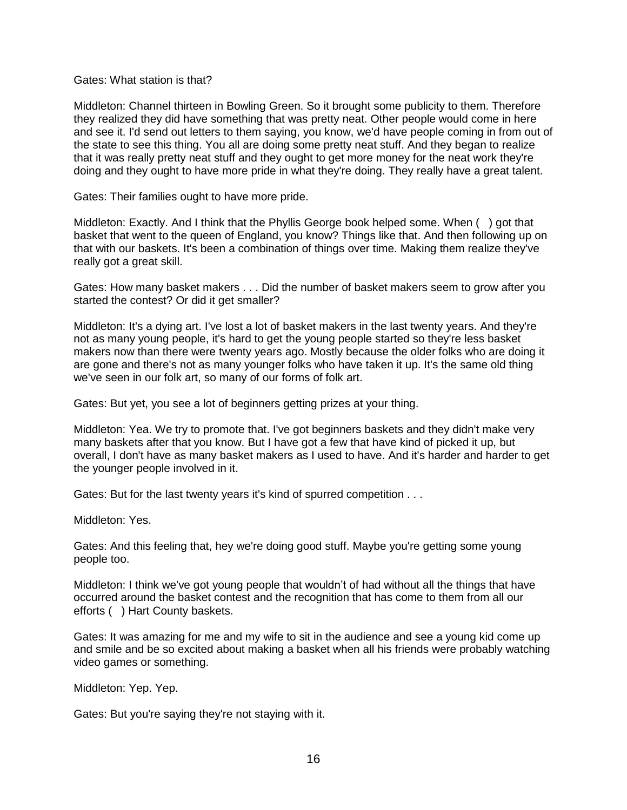## Gates: What station is that?

Middleton: Channel thirteen in Bowling Green. So it brought some publicity to them. Therefore they realized they did have something that was pretty neat. Other people would come in here and see it. I'd send out letters to them saying, you know, we'd have people coming in from out of the state to see this thing. You all are doing some pretty neat stuff. And they began to realize that it was really pretty neat stuff and they ought to get more money for the neat work they're doing and they ought to have more pride in what they're doing. They really have a great talent.

Gates: Their families ought to have more pride.

Middleton: Exactly. And I think that the Phyllis George book helped some. When ( ) got that basket that went to the queen of England, you know? Things like that. And then following up on that with our baskets. It's been a combination of things over time. Making them realize they've really got a great skill.

Gates: How many basket makers . . . Did the number of basket makers seem to grow after you started the contest? Or did it get smaller?

Middleton: It's a dying art. I've lost a lot of basket makers in the last twenty years. And they're not as many young people, it's hard to get the young people started so they're less basket makers now than there were twenty years ago. Mostly because the older folks who are doing it are gone and there's not as many younger folks who have taken it up. It's the same old thing we've seen in our folk art, so many of our forms of folk art.

Gates: But yet, you see a lot of beginners getting prizes at your thing.

Middleton: Yea. We try to promote that. I've got beginners baskets and they didn't make very many baskets after that you know. But I have got a few that have kind of picked it up, but overall, I don't have as many basket makers as I used to have. And it's harder and harder to get the younger people involved in it.

Gates: But for the last twenty years it's kind of spurred competition . . .

Middleton: Yes.

Gates: And this feeling that, hey we're doing good stuff. Maybe you're getting some young people too.

Middleton: I think we've got young people that wouldn't of had without all the things that have occurred around the basket contest and the recognition that has come to them from all our efforts ( ) Hart County baskets.

Gates: It was amazing for me and my wife to sit in the audience and see a young kid come up and smile and be so excited about making a basket when all his friends were probably watching video games or something.

Middleton: Yep. Yep.

Gates: But you're saying they're not staying with it.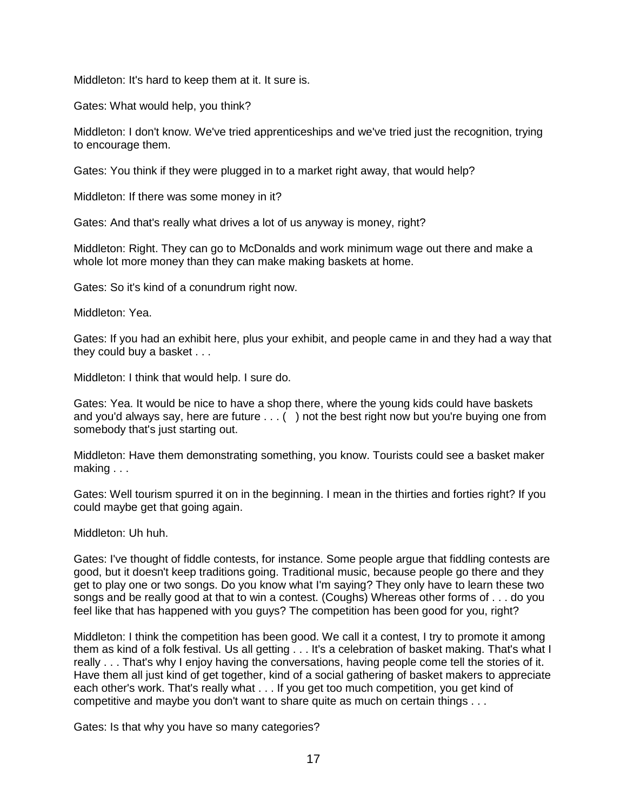Middleton: It's hard to keep them at it. It sure is.

Gates: What would help, you think?

Middleton: I don't know. We've tried apprenticeships and we've tried just the recognition, trying to encourage them.

Gates: You think if they were plugged in to a market right away, that would help?

Middleton: If there was some money in it?

Gates: And that's really what drives a lot of us anyway is money, right?

Middleton: Right. They can go to McDonalds and work minimum wage out there and make a whole lot more money than they can make making baskets at home.

Gates: So it's kind of a conundrum right now.

Middleton: Yea.

Gates: If you had an exhibit here, plus your exhibit, and people came in and they had a way that they could buy a basket . . .

Middleton: I think that would help. I sure do.

Gates: Yea. It would be nice to have a shop there, where the young kids could have baskets and you'd always say, here are future  $\dots$  () not the best right now but you're buying one from somebody that's just starting out.

Middleton: Have them demonstrating something, you know. Tourists could see a basket maker making . . .

Gates: Well tourism spurred it on in the beginning. I mean in the thirties and forties right? If you could maybe get that going again.

Middleton: Uh huh.

Gates: I've thought of fiddle contests, for instance. Some people argue that fiddling contests are good, but it doesn't keep traditions going. Traditional music, because people go there and they get to play one or two songs. Do you know what I'm saying? They only have to learn these two songs and be really good at that to win a contest. (Coughs) Whereas other forms of . . . do you feel like that has happened with you guys? The competition has been good for you, right?

Middleton: I think the competition has been good. We call it a contest, I try to promote it among them as kind of a folk festival. Us all getting . . . It's a celebration of basket making. That's what I really . . . That's why I enjoy having the conversations, having people come tell the stories of it. Have them all just kind of get together, kind of a social gathering of basket makers to appreciate each other's work. That's really what . . . If you get too much competition, you get kind of competitive and maybe you don't want to share quite as much on certain things . . .

Gates: Is that why you have so many categories?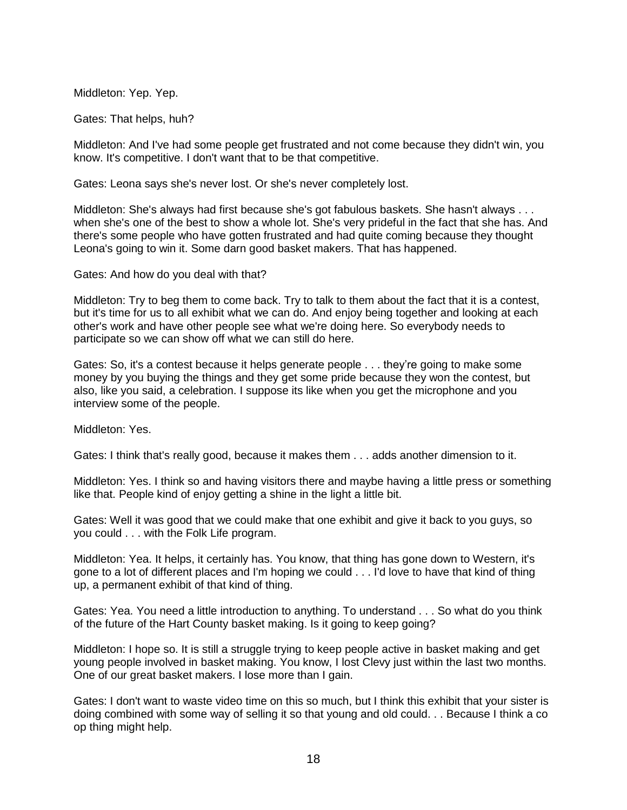Middleton: Yep. Yep.

Gates: That helps, huh?

Middleton: And I've had some people get frustrated and not come because they didn't win, you know. It's competitive. I don't want that to be that competitive.

Gates: Leona says she's never lost. Or she's never completely lost.

Middleton: She's always had first because she's got fabulous baskets. She hasn't always . . . when she's one of the best to show a whole lot. She's very prideful in the fact that she has. And there's some people who have gotten frustrated and had quite coming because they thought Leona's going to win it. Some darn good basket makers. That has happened.

Gates: And how do you deal with that?

Middleton: Try to beg them to come back. Try to talk to them about the fact that it is a contest, but it's time for us to all exhibit what we can do. And enjoy being together and looking at each other's work and have other people see what we're doing here. So everybody needs to participate so we can show off what we can still do here.

Gates: So, it's a contest because it helps generate people . . . they're going to make some money by you buying the things and they get some pride because they won the contest, but also, like you said, a celebration. I suppose its like when you get the microphone and you interview some of the people.

Middleton: Yes.

Gates: I think that's really good, because it makes them . . . adds another dimension to it.

Middleton: Yes. I think so and having visitors there and maybe having a little press or something like that. People kind of enjoy getting a shine in the light a little bit.

Gates: Well it was good that we could make that one exhibit and give it back to you guys, so you could . . . with the Folk Life program.

Middleton: Yea. It helps, it certainly has. You know, that thing has gone down to Western, it's gone to a lot of different places and I'm hoping we could . . . I'd love to have that kind of thing up, a permanent exhibit of that kind of thing.

Gates: Yea. You need a little introduction to anything. To understand . . . So what do you think of the future of the Hart County basket making. Is it going to keep going?

Middleton: I hope so. It is still a struggle trying to keep people active in basket making and get young people involved in basket making. You know, I lost Clevy just within the last two months. One of our great basket makers. I lose more than I gain.

Gates: I don't want to waste video time on this so much, but I think this exhibit that your sister is doing combined with some way of selling it so that young and old could. . . Because I think a co op thing might help.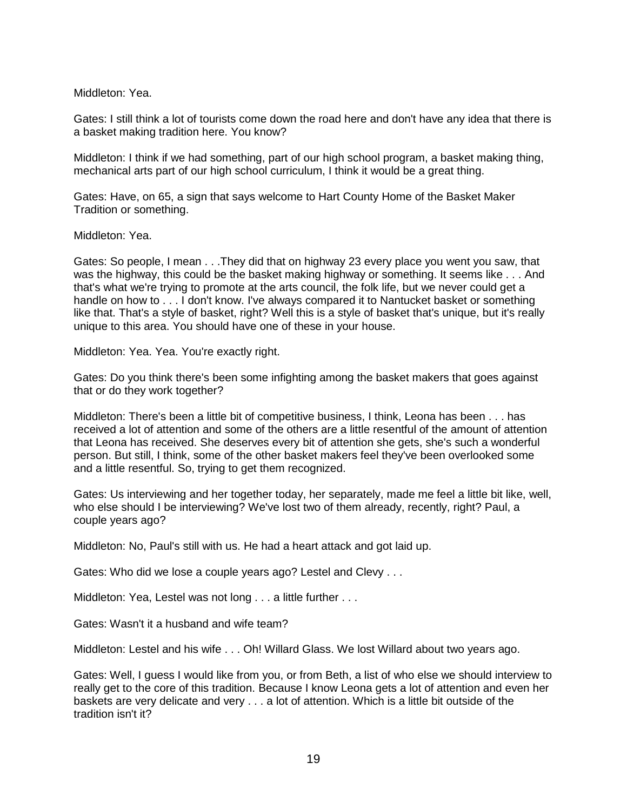Middleton: Yea.

Gates: I still think a lot of tourists come down the road here and don't have any idea that there is a basket making tradition here. You know?

Middleton: I think if we had something, part of our high school program, a basket making thing, mechanical arts part of our high school curriculum, I think it would be a great thing.

Gates: Have, on 65, a sign that says welcome to Hart County Home of the Basket Maker Tradition or something.

Middleton: Yea.

Gates: So people, I mean . . .They did that on highway 23 every place you went you saw, that was the highway, this could be the basket making highway or something. It seems like . . . And that's what we're trying to promote at the arts council, the folk life, but we never could get a handle on how to . . . I don't know. I've always compared it to Nantucket basket or something like that. That's a style of basket, right? Well this is a style of basket that's unique, but it's really unique to this area. You should have one of these in your house.

Middleton: Yea. Yea. You're exactly right.

Gates: Do you think there's been some infighting among the basket makers that goes against that or do they work together?

Middleton: There's been a little bit of competitive business, I think, Leona has been . . . has received a lot of attention and some of the others are a little resentful of the amount of attention that Leona has received. She deserves every bit of attention she gets, she's such a wonderful person. But still, I think, some of the other basket makers feel they've been overlooked some and a little resentful. So, trying to get them recognized.

Gates: Us interviewing and her together today, her separately, made me feel a little bit like, well, who else should I be interviewing? We've lost two of them already, recently, right? Paul, a couple years ago?

Middleton: No, Paul's still with us. He had a heart attack and got laid up.

Gates: Who did we lose a couple years ago? Lestel and Clevy . . .

Middleton: Yea, Lestel was not long . . . a little further . . .

Gates: Wasn't it a husband and wife team?

Middleton: Lestel and his wife . . . Oh! Willard Glass. We lost Willard about two years ago.

Gates: Well, I guess I would like from you, or from Beth, a list of who else we should interview to really get to the core of this tradition. Because I know Leona gets a lot of attention and even her baskets are very delicate and very . . . a lot of attention. Which is a little bit outside of the tradition isn't it?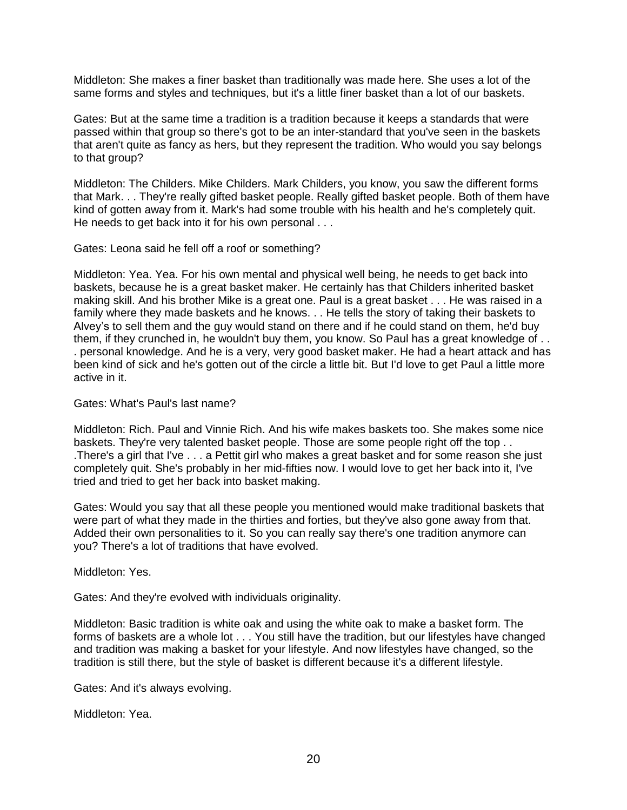Middleton: She makes a finer basket than traditionally was made here. She uses a lot of the same forms and styles and techniques, but it's a little finer basket than a lot of our baskets.

Gates: But at the same time a tradition is a tradition because it keeps a standards that were passed within that group so there's got to be an inter-standard that you've seen in the baskets that aren't quite as fancy as hers, but they represent the tradition. Who would you say belongs to that group?

Middleton: The Childers. Mike Childers. Mark Childers, you know, you saw the different forms that Mark. . . They're really gifted basket people. Really gifted basket people. Both of them have kind of gotten away from it. Mark's had some trouble with his health and he's completely quit. He needs to get back into it for his own personal . . .

Gates: Leona said he fell off a roof or something?

Middleton: Yea. Yea. For his own mental and physical well being, he needs to get back into baskets, because he is a great basket maker. He certainly has that Childers inherited basket making skill. And his brother Mike is a great one. Paul is a great basket . . . He was raised in a family where they made baskets and he knows. . . He tells the story of taking their baskets to Alvey's to sell them and the guy would stand on there and if he could stand on them, he'd buy them, if they crunched in, he wouldn't buy them, you know. So Paul has a great knowledge of . . . personal knowledge. And he is a very, very good basket maker. He had a heart attack and has been kind of sick and he's gotten out of the circle a little bit. But I'd love to get Paul a little more active in it.

Gates: What's Paul's last name?

Middleton: Rich. Paul and Vinnie Rich. And his wife makes baskets too. She makes some nice baskets. They're very talented basket people. Those are some people right off the top . . .There's a girl that I've . . . a Pettit girl who makes a great basket and for some reason she just completely quit. She's probably in her mid-fifties now. I would love to get her back into it, I've tried and tried to get her back into basket making.

Gates: Would you say that all these people you mentioned would make traditional baskets that were part of what they made in the thirties and forties, but they've also gone away from that. Added their own personalities to it. So you can really say there's one tradition anymore can you? There's a lot of traditions that have evolved.

Middleton: Yes.

Gates: And they're evolved with individuals originality.

Middleton: Basic tradition is white oak and using the white oak to make a basket form. The forms of baskets are a whole lot . . . You still have the tradition, but our lifestyles have changed and tradition was making a basket for your lifestyle. And now lifestyles have changed, so the tradition is still there, but the style of basket is different because it's a different lifestyle.

Gates: And it's always evolving.

Middleton: Yea.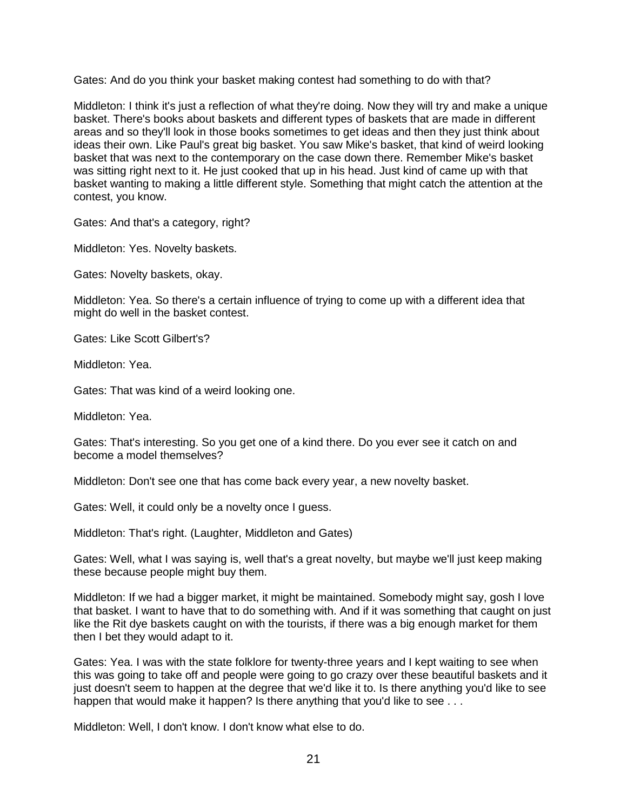Gates: And do you think your basket making contest had something to do with that?

Middleton: I think it's just a reflection of what they're doing. Now they will try and make a unique basket. There's books about baskets and different types of baskets that are made in different areas and so they'll look in those books sometimes to get ideas and then they just think about ideas their own. Like Paul's great big basket. You saw Mike's basket, that kind of weird looking basket that was next to the contemporary on the case down there. Remember Mike's basket was sitting right next to it. He just cooked that up in his head. Just kind of came up with that basket wanting to making a little different style. Something that might catch the attention at the contest, you know.

Gates: And that's a category, right?

Middleton: Yes. Novelty baskets.

Gates: Novelty baskets, okay.

Middleton: Yea. So there's a certain influence of trying to come up with a different idea that might do well in the basket contest.

Gates: Like Scott Gilbert's?

Middleton: Yea.

Gates: That was kind of a weird looking one.

Middleton: Yea.

Gates: That's interesting. So you get one of a kind there. Do you ever see it catch on and become a model themselves?

Middleton: Don't see one that has come back every year, a new novelty basket.

Gates: Well, it could only be a novelty once I guess.

Middleton: That's right. (Laughter, Middleton and Gates)

Gates: Well, what I was saying is, well that's a great novelty, but maybe we'll just keep making these because people might buy them.

Middleton: If we had a bigger market, it might be maintained. Somebody might say, gosh I love that basket. I want to have that to do something with. And if it was something that caught on just like the Rit dye baskets caught on with the tourists, if there was a big enough market for them then I bet they would adapt to it.

Gates: Yea. I was with the state folklore for twenty-three years and I kept waiting to see when this was going to take off and people were going to go crazy over these beautiful baskets and it just doesn't seem to happen at the degree that we'd like it to. Is there anything you'd like to see happen that would make it happen? Is there anything that you'd like to see . . .

Middleton: Well, I don't know. I don't know what else to do.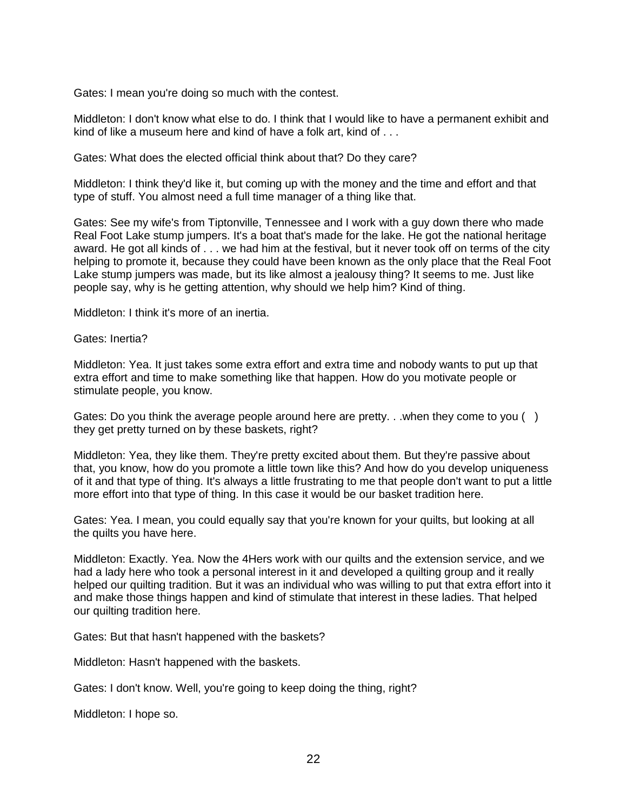Gates: I mean you're doing so much with the contest.

Middleton: I don't know what else to do. I think that I would like to have a permanent exhibit and kind of like a museum here and kind of have a folk art, kind of . . .

Gates: What does the elected official think about that? Do they care?

Middleton: I think they'd like it, but coming up with the money and the time and effort and that type of stuff. You almost need a full time manager of a thing like that.

Gates: See my wife's from Tiptonville, Tennessee and I work with a guy down there who made Real Foot Lake stump jumpers. It's a boat that's made for the lake. He got the national heritage award. He got all kinds of . . . we had him at the festival, but it never took off on terms of the city helping to promote it, because they could have been known as the only place that the Real Foot Lake stump jumpers was made, but its like almost a jealousy thing? It seems to me. Just like people say, why is he getting attention, why should we help him? Kind of thing.

Middleton: I think it's more of an inertia.

Gates: Inertia?

Middleton: Yea. It just takes some extra effort and extra time and nobody wants to put up that extra effort and time to make something like that happen. How do you motivate people or stimulate people, you know.

Gates: Do you think the average people around here are pretty. . .when they come to you () they get pretty turned on by these baskets, right?

Middleton: Yea, they like them. They're pretty excited about them. But they're passive about that, you know, how do you promote a little town like this? And how do you develop uniqueness of it and that type of thing. It's always a little frustrating to me that people don't want to put a little more effort into that type of thing. In this case it would be our basket tradition here.

Gates: Yea. I mean, you could equally say that you're known for your quilts, but looking at all the quilts you have here.

Middleton: Exactly. Yea. Now the 4Hers work with our quilts and the extension service, and we had a lady here who took a personal interest in it and developed a quilting group and it really helped our quilting tradition. But it was an individual who was willing to put that extra effort into it and make those things happen and kind of stimulate that interest in these ladies. That helped our quilting tradition here.

Gates: But that hasn't happened with the baskets?

Middleton: Hasn't happened with the baskets.

Gates: I don't know. Well, you're going to keep doing the thing, right?

Middleton: I hope so.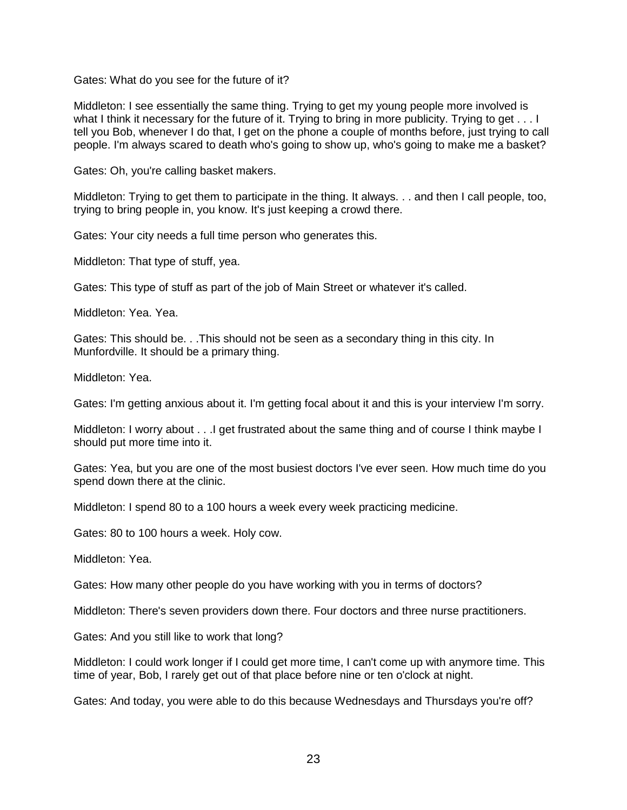Gates: What do you see for the future of it?

Middleton: I see essentially the same thing. Trying to get my young people more involved is what I think it necessary for the future of it. Trying to bring in more publicity. Trying to get . . . I tell you Bob, whenever I do that, I get on the phone a couple of months before, just trying to call people. I'm always scared to death who's going to show up, who's going to make me a basket?

Gates: Oh, you're calling basket makers.

Middleton: Trying to get them to participate in the thing. It always. . . and then I call people, too, trying to bring people in, you know. It's just keeping a crowd there.

Gates: Your city needs a full time person who generates this.

Middleton: That type of stuff, yea.

Gates: This type of stuff as part of the job of Main Street or whatever it's called.

Middleton: Yea. Yea.

Gates: This should be. . .This should not be seen as a secondary thing in this city. In Munfordville. It should be a primary thing.

Middleton: Yea.

Gates: I'm getting anxious about it. I'm getting focal about it and this is your interview I'm sorry.

Middleton: I worry about . . .I get frustrated about the same thing and of course I think maybe I should put more time into it.

Gates: Yea, but you are one of the most busiest doctors I've ever seen. How much time do you spend down there at the clinic.

Middleton: I spend 80 to a 100 hours a week every week practicing medicine.

Gates: 80 to 100 hours a week. Holy cow.

Middleton: Yea.

Gates: How many other people do you have working with you in terms of doctors?

Middleton: There's seven providers down there. Four doctors and three nurse practitioners.

Gates: And you still like to work that long?

Middleton: I could work longer if I could get more time, I can't come up with anymore time. This time of year, Bob, I rarely get out of that place before nine or ten o'clock at night.

Gates: And today, you were able to do this because Wednesdays and Thursdays you're off?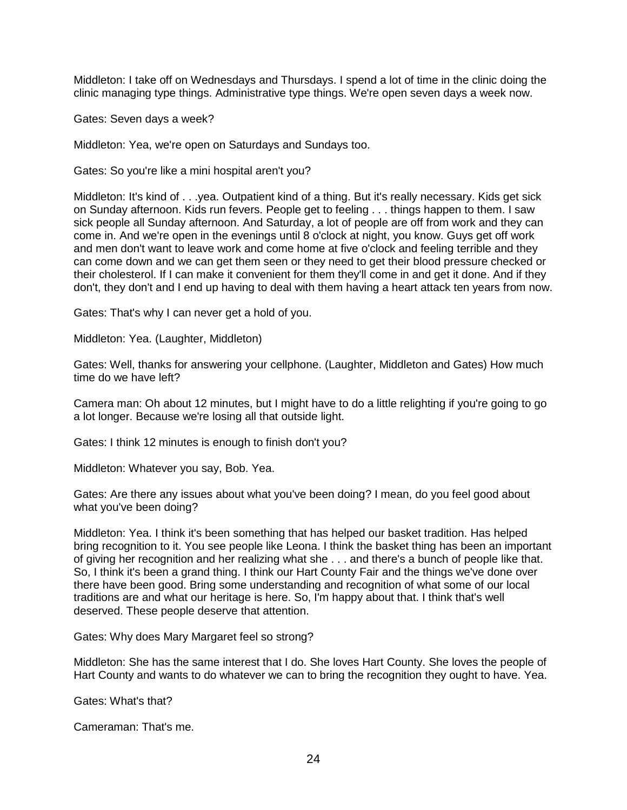Middleton: I take off on Wednesdays and Thursdays. I spend a lot of time in the clinic doing the clinic managing type things. Administrative type things. We're open seven days a week now.

Gates: Seven days a week?

Middleton: Yea, we're open on Saturdays and Sundays too.

Gates: So you're like a mini hospital aren't you?

Middleton: It's kind of . . .yea. Outpatient kind of a thing. But it's really necessary. Kids get sick on Sunday afternoon. Kids run fevers. People get to feeling . . . things happen to them. I saw sick people all Sunday afternoon. And Saturday, a lot of people are off from work and they can come in. And we're open in the evenings until 8 o'clock at night, you know. Guys get off work and men don't want to leave work and come home at five o'clock and feeling terrible and they can come down and we can get them seen or they need to get their blood pressure checked or their cholesterol. If I can make it convenient for them they'll come in and get it done. And if they don't, they don't and I end up having to deal with them having a heart attack ten years from now.

Gates: That's why I can never get a hold of you.

Middleton: Yea. (Laughter, Middleton)

Gates: Well, thanks for answering your cellphone. (Laughter, Middleton and Gates) How much time do we have left?

Camera man: Oh about 12 minutes, but I might have to do a little relighting if you're going to go a lot longer. Because we're losing all that outside light.

Gates: I think 12 minutes is enough to finish don't you?

Middleton: Whatever you say, Bob. Yea.

Gates: Are there any issues about what you've been doing? I mean, do you feel good about what you've been doing?

Middleton: Yea. I think it's been something that has helped our basket tradition. Has helped bring recognition to it. You see people like Leona. I think the basket thing has been an important of giving her recognition and her realizing what she . . . and there's a bunch of people like that. So, I think it's been a grand thing. I think our Hart County Fair and the things we've done over there have been good. Bring some understanding and recognition of what some of our local traditions are and what our heritage is here. So, I'm happy about that. I think that's well deserved. These people deserve that attention.

Gates: Why does Mary Margaret feel so strong?

Middleton: She has the same interest that I do. She loves Hart County. She loves the people of Hart County and wants to do whatever we can to bring the recognition they ought to have. Yea.

Gates: What's that?

Cameraman: That's me.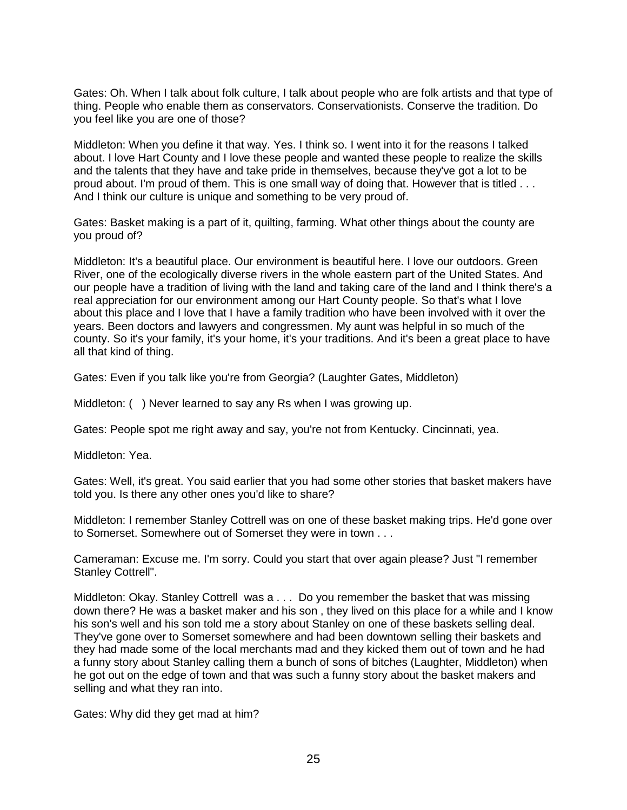Gates: Oh. When I talk about folk culture, I talk about people who are folk artists and that type of thing. People who enable them as conservators. Conservationists. Conserve the tradition. Do you feel like you are one of those?

Middleton: When you define it that way. Yes. I think so. I went into it for the reasons I talked about. I love Hart County and I love these people and wanted these people to realize the skills and the talents that they have and take pride in themselves, because they've got a lot to be proud about. I'm proud of them. This is one small way of doing that. However that is titled . . . And I think our culture is unique and something to be very proud of.

Gates: Basket making is a part of it, quilting, farming. What other things about the county are you proud of?

Middleton: It's a beautiful place. Our environment is beautiful here. I love our outdoors. Green River, one of the ecologically diverse rivers in the whole eastern part of the United States. And our people have a tradition of living with the land and taking care of the land and I think there's a real appreciation for our environment among our Hart County people. So that's what I love about this place and I love that I have a family tradition who have been involved with it over the years. Been doctors and lawyers and congressmen. My aunt was helpful in so much of the county. So it's your family, it's your home, it's your traditions. And it's been a great place to have all that kind of thing.

Gates: Even if you talk like you're from Georgia? (Laughter Gates, Middleton)

Middleton: () Never learned to say any Rs when I was growing up.

Gates: People spot me right away and say, you're not from Kentucky. Cincinnati, yea.

Middleton: Yea.

Gates: Well, it's great. You said earlier that you had some other stories that basket makers have told you. Is there any other ones you'd like to share?

Middleton: I remember Stanley Cottrell was on one of these basket making trips. He'd gone over to Somerset. Somewhere out of Somerset they were in town . . .

Cameraman: Excuse me. I'm sorry. Could you start that over again please? Just "I remember Stanley Cottrell".

Middleton: Okay. Stanley Cottrell was a . . . Do you remember the basket that was missing down there? He was a basket maker and his son , they lived on this place for a while and I know his son's well and his son told me a story about Stanley on one of these baskets selling deal. They've gone over to Somerset somewhere and had been downtown selling their baskets and they had made some of the local merchants mad and they kicked them out of town and he had a funny story about Stanley calling them a bunch of sons of bitches (Laughter, Middleton) when he got out on the edge of town and that was such a funny story about the basket makers and selling and what they ran into.

Gates: Why did they get mad at him?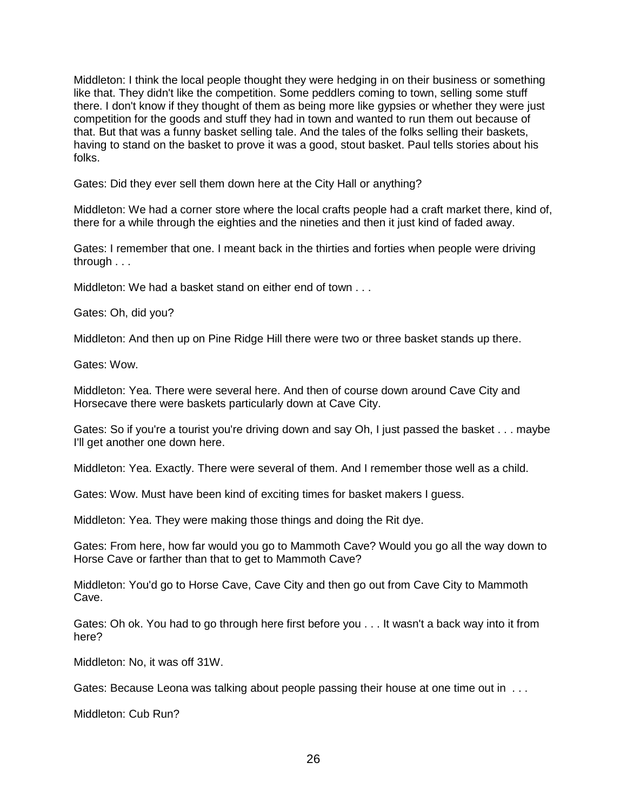Middleton: I think the local people thought they were hedging in on their business or something like that. They didn't like the competition. Some peddlers coming to town, selling some stuff there. I don't know if they thought of them as being more like gypsies or whether they were just competition for the goods and stuff they had in town and wanted to run them out because of that. But that was a funny basket selling tale. And the tales of the folks selling their baskets, having to stand on the basket to prove it was a good, stout basket. Paul tells stories about his folks.

Gates: Did they ever sell them down here at the City Hall or anything?

Middleton: We had a corner store where the local crafts people had a craft market there, kind of, there for a while through the eighties and the nineties and then it just kind of faded away.

Gates: I remember that one. I meant back in the thirties and forties when people were driving through . . .

Middleton: We had a basket stand on either end of town . . .

Gates: Oh, did you?

Middleton: And then up on Pine Ridge Hill there were two or three basket stands up there.

Gates: Wow.

Middleton: Yea. There were several here. And then of course down around Cave City and Horsecave there were baskets particularly down at Cave City.

Gates: So if you're a tourist you're driving down and say Oh, I just passed the basket . . . maybe I'll get another one down here.

Middleton: Yea. Exactly. There were several of them. And I remember those well as a child.

Gates: Wow. Must have been kind of exciting times for basket makers I guess.

Middleton: Yea. They were making those things and doing the Rit dye.

Gates: From here, how far would you go to Mammoth Cave? Would you go all the way down to Horse Cave or farther than that to get to Mammoth Cave?

Middleton: You'd go to Horse Cave, Cave City and then go out from Cave City to Mammoth Cave.

Gates: Oh ok. You had to go through here first before you . . . It wasn't a back way into it from here?

Middleton: No, it was off 31W.

Gates: Because Leona was talking about people passing their house at one time out in ...

Middleton: Cub Run?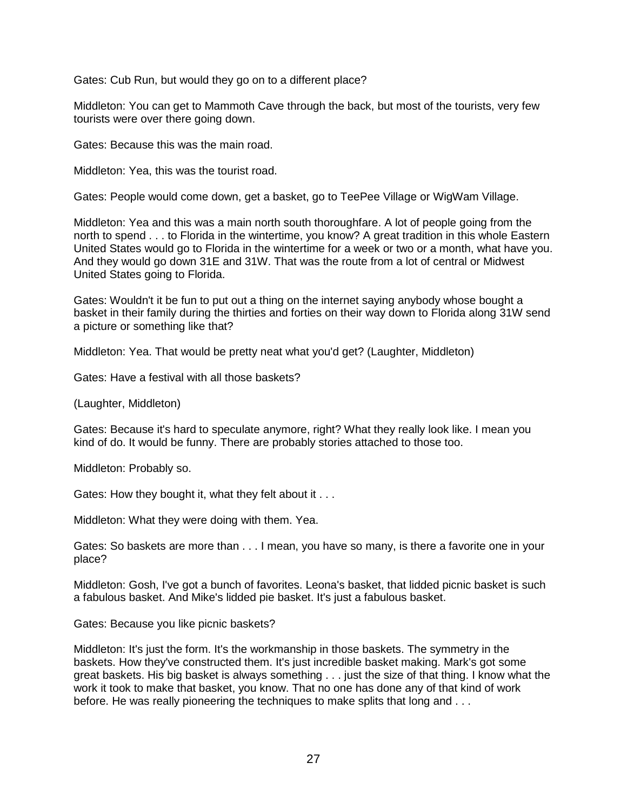Gates: Cub Run, but would they go on to a different place?

Middleton: You can get to Mammoth Cave through the back, but most of the tourists, very few tourists were over there going down.

Gates: Because this was the main road.

Middleton: Yea, this was the tourist road.

Gates: People would come down, get a basket, go to TeePee Village or WigWam Village.

Middleton: Yea and this was a main north south thoroughfare. A lot of people going from the north to spend . . . to Florida in the wintertime, you know? A great tradition in this whole Eastern United States would go to Florida in the wintertime for a week or two or a month, what have you. And they would go down 31E and 31W. That was the route from a lot of central or Midwest United States going to Florida.

Gates: Wouldn't it be fun to put out a thing on the internet saying anybody whose bought a basket in their family during the thirties and forties on their way down to Florida along 31W send a picture or something like that?

Middleton: Yea. That would be pretty neat what you'd get? (Laughter, Middleton)

Gates: Have a festival with all those baskets?

(Laughter, Middleton)

Gates: Because it's hard to speculate anymore, right? What they really look like. I mean you kind of do. It would be funny. There are probably stories attached to those too.

Middleton: Probably so.

Gates: How they bought it, what they felt about it . . .

Middleton: What they were doing with them. Yea.

Gates: So baskets are more than . . . I mean, you have so many, is there a favorite one in your place?

Middleton: Gosh, I've got a bunch of favorites. Leona's basket, that lidded picnic basket is such a fabulous basket. And Mike's lidded pie basket. It's just a fabulous basket.

Gates: Because you like picnic baskets?

Middleton: It's just the form. It's the workmanship in those baskets. The symmetry in the baskets. How they've constructed them. It's just incredible basket making. Mark's got some great baskets. His big basket is always something . . . just the size of that thing. I know what the work it took to make that basket, you know. That no one has done any of that kind of work before. He was really pioneering the techniques to make splits that long and . . .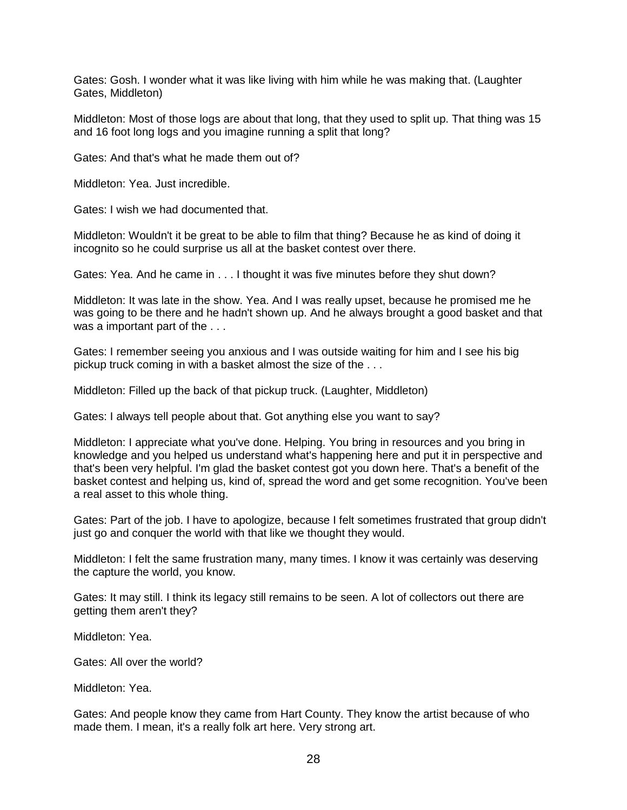Gates: Gosh. I wonder what it was like living with him while he was making that. (Laughter Gates, Middleton)

Middleton: Most of those logs are about that long, that they used to split up. That thing was 15 and 16 foot long logs and you imagine running a split that long?

Gates: And that's what he made them out of?

Middleton: Yea. Just incredible.

Gates: I wish we had documented that.

Middleton: Wouldn't it be great to be able to film that thing? Because he as kind of doing it incognito so he could surprise us all at the basket contest over there.

Gates: Yea. And he came in . . . I thought it was five minutes before they shut down?

Middleton: It was late in the show. Yea. And I was really upset, because he promised me he was going to be there and he hadn't shown up. And he always brought a good basket and that was a important part of the . . .

Gates: I remember seeing you anxious and I was outside waiting for him and I see his big pickup truck coming in with a basket almost the size of the . . .

Middleton: Filled up the back of that pickup truck. (Laughter, Middleton)

Gates: I always tell people about that. Got anything else you want to say?

Middleton: I appreciate what you've done. Helping. You bring in resources and you bring in knowledge and you helped us understand what's happening here and put it in perspective and that's been very helpful. I'm glad the basket contest got you down here. That's a benefit of the basket contest and helping us, kind of, spread the word and get some recognition. You've been a real asset to this whole thing.

Gates: Part of the job. I have to apologize, because I felt sometimes frustrated that group didn't just go and conquer the world with that like we thought they would.

Middleton: I felt the same frustration many, many times. I know it was certainly was deserving the capture the world, you know.

Gates: It may still. I think its legacy still remains to be seen. A lot of collectors out there are getting them aren't they?

Middleton: Yea.

Gates: All over the world?

Middleton: Yea.

Gates: And people know they came from Hart County. They know the artist because of who made them. I mean, it's a really folk art here. Very strong art.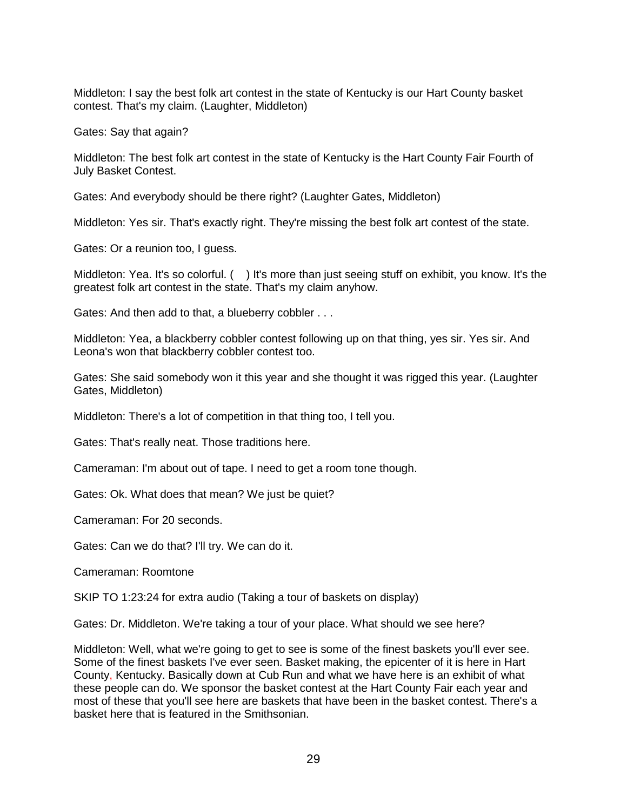Middleton: I say the best folk art contest in the state of Kentucky is our Hart County basket contest. That's my claim. (Laughter, Middleton)

Gates: Say that again?

Middleton: The best folk art contest in the state of Kentucky is the Hart County Fair Fourth of July Basket Contest.

Gates: And everybody should be there right? (Laughter Gates, Middleton)

Middleton: Yes sir. That's exactly right. They're missing the best folk art contest of the state.

Gates: Or a reunion too, I guess.

Middleton: Yea. It's so colorful. ( ) It's more than just seeing stuff on exhibit, you know. It's the greatest folk art contest in the state. That's my claim anyhow.

Gates: And then add to that, a blueberry cobbler . . .

Middleton: Yea, a blackberry cobbler contest following up on that thing, yes sir. Yes sir. And Leona's won that blackberry cobbler contest too.

Gates: She said somebody won it this year and she thought it was rigged this year. (Laughter Gates, Middleton)

Middleton: There's a lot of competition in that thing too, I tell you.

Gates: That's really neat. Those traditions here.

Cameraman: I'm about out of tape. I need to get a room tone though.

Gates: Ok. What does that mean? We just be quiet?

Cameraman: For 20 seconds.

Gates: Can we do that? I'll try. We can do it.

Cameraman: Roomtone

SKIP TO 1:23:24 for extra audio (Taking a tour of baskets on display)

Gates: Dr. Middleton. We're taking a tour of your place. What should we see here?

Middleton: Well, what we're going to get to see is some of the finest baskets you'll ever see. Some of the finest baskets I've ever seen. Basket making, the epicenter of it is here in Hart County, Kentucky. Basically down at Cub Run and what we have here is an exhibit of what these people can do. We sponsor the basket contest at the Hart County Fair each year and most of these that you'll see here are baskets that have been in the basket contest. There's a basket here that is featured in the Smithsonian.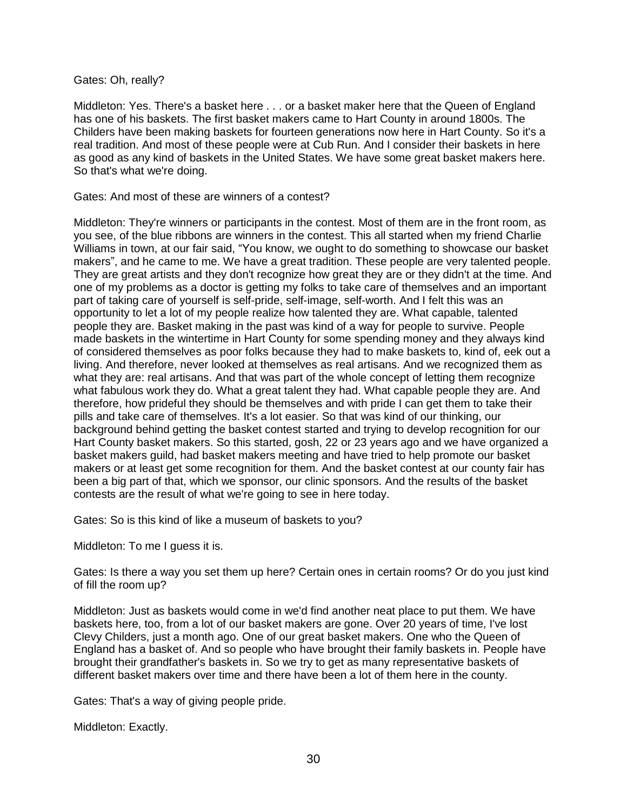Gates: Oh, really?

Middleton: Yes. There's a basket here . . . or a basket maker here that the Queen of England has one of his baskets. The first basket makers came to Hart County in around 1800s. The Childers have been making baskets for fourteen generations now here in Hart County. So it's a real tradition. And most of these people were at Cub Run. And I consider their baskets in here as good as any kind of baskets in the United States. We have some great basket makers here. So that's what we're doing.

Gates: And most of these are winners of a contest?

Middleton: They're winners or participants in the contest. Most of them are in the front room, as you see, of the blue ribbons are winners in the contest. This all started when my friend Charlie Williams in town, at our fair said, "You know, we ought to do something to showcase our basket makers", and he came to me. We have a great tradition. These people are very talented people. They are great artists and they don't recognize how great they are or they didn't at the time. And one of my problems as a doctor is getting my folks to take care of themselves and an important part of taking care of yourself is self-pride, self-image, self-worth. And I felt this was an opportunity to let a lot of my people realize how talented they are. What capable, talented people they are. Basket making in the past was kind of a way for people to survive. People made baskets in the wintertime in Hart County for some spending money and they always kind of considered themselves as poor folks because they had to make baskets to, kind of, eek out a living. And therefore, never looked at themselves as real artisans. And we recognized them as what they are: real artisans. And that was part of the whole concept of letting them recognize what fabulous work they do. What a great talent they had. What capable people they are. And therefore, how prideful they should be themselves and with pride I can get them to take their pills and take care of themselves. It's a lot easier. So that was kind of our thinking, our background behind getting the basket contest started and trying to develop recognition for our Hart County basket makers. So this started, gosh, 22 or 23 years ago and we have organized a basket makers guild, had basket makers meeting and have tried to help promote our basket makers or at least get some recognition for them. And the basket contest at our county fair has been a big part of that, which we sponsor, our clinic sponsors. And the results of the basket contests are the result of what we're going to see in here today.

Gates: So is this kind of like a museum of baskets to you?

Middleton: To me I guess it is.

Gates: Is there a way you set them up here? Certain ones in certain rooms? Or do you just kind of fill the room up?

Middleton: Just as baskets would come in we'd find another neat place to put them. We have baskets here, too, from a lot of our basket makers are gone. Over 20 years of time, I've lost Clevy Childers, just a month ago. One of our great basket makers. One who the Queen of England has a basket of. And so people who have brought their family baskets in. People have brought their grandfather's baskets in. So we try to get as many representative baskets of different basket makers over time and there have been a lot of them here in the county.

Gates: That's a way of giving people pride.

Middleton: Exactly.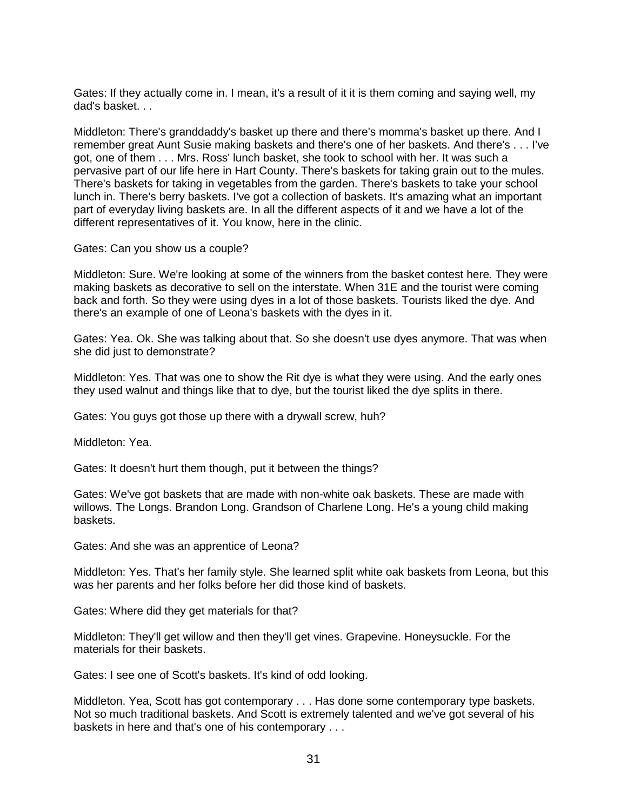Gates: If they actually come in. I mean, it's a result of it it is them coming and saying well, my dad's basket. . .

Middleton: There's granddaddy's basket up there and there's momma's basket up there. And I remember great Aunt Susie making baskets and there's one of her baskets. And there's . . . I've got, one of them . . . Mrs. Ross' lunch basket, she took to school with her. It was such a pervasive part of our life here in Hart County. There's baskets for taking grain out to the mules. There's baskets for taking in vegetables from the garden. There's baskets to take your school lunch in. There's berry baskets. I've got a collection of baskets. It's amazing what an important part of everyday living baskets are. In all the different aspects of it and we have a lot of the different representatives of it. You know, here in the clinic.

Gates: Can you show us a couple?

Middleton: Sure. We're looking at some of the winners from the basket contest here. They were making baskets as decorative to sell on the interstate. When 31E and the tourist were coming back and forth. So they were using dyes in a lot of those baskets. Tourists liked the dye. And there's an example of one of Leona's baskets with the dyes in it.

Gates: Yea. Ok. She was talking about that. So she doesn't use dyes anymore. That was when she did just to demonstrate?

Middleton: Yes. That was one to show the Rit dye is what they were using. And the early ones they used walnut and things like that to dye, but the tourist liked the dye splits in there.

Gates: You guys got those up there with a drywall screw, huh?

Middleton: Yea.

Gates: It doesn't hurt them though, put it between the things?

Gates: We've got baskets that are made with non-white oak baskets. These are made with willows. The Longs. Brandon Long. Grandson of Charlene Long. He's a young child making baskets.

Gates: And she was an apprentice of Leona?

Middleton: Yes. That's her family style. She learned split white oak baskets from Leona, but this was her parents and her folks before her did those kind of baskets.

Gates: Where did they get materials for that?

Middleton: They'll get willow and then they'll get vines. Grapevine. Honeysuckle. For the materials for their baskets.

Gates: I see one of Scott's baskets. It's kind of odd looking.

Middleton. Yea, Scott has got contemporary . . . Has done some contemporary type baskets. Not so much traditional baskets. And Scott is extremely talented and we've got several of his baskets in here and that's one of his contemporary . . .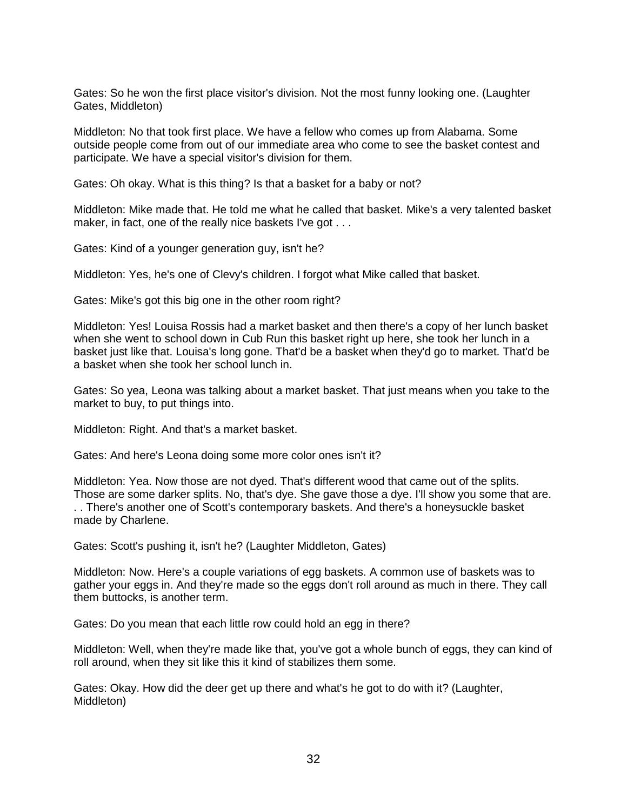Gates: So he won the first place visitor's division. Not the most funny looking one. (Laughter Gates, Middleton)

Middleton: No that took first place. We have a fellow who comes up from Alabama. Some outside people come from out of our immediate area who come to see the basket contest and participate. We have a special visitor's division for them.

Gates: Oh okay. What is this thing? Is that a basket for a baby or not?

Middleton: Mike made that. He told me what he called that basket. Mike's a very talented basket maker, in fact, one of the really nice baskets I've got . . .

Gates: Kind of a younger generation guy, isn't he?

Middleton: Yes, he's one of Clevy's children. I forgot what Mike called that basket.

Gates: Mike's got this big one in the other room right?

Middleton: Yes! Louisa Rossis had a market basket and then there's a copy of her lunch basket when she went to school down in Cub Run this basket right up here, she took her lunch in a basket just like that. Louisa's long gone. That'd be a basket when they'd go to market. That'd be a basket when she took her school lunch in.

Gates: So yea, Leona was talking about a market basket. That just means when you take to the market to buy, to put things into.

Middleton: Right. And that's a market basket.

Gates: And here's Leona doing some more color ones isn't it?

Middleton: Yea. Now those are not dyed. That's different wood that came out of the splits. Those are some darker splits. No, that's dye. She gave those a dye. I'll show you some that are. . . There's another one of Scott's contemporary baskets. And there's a honeysuckle basket made by Charlene.

Gates: Scott's pushing it, isn't he? (Laughter Middleton, Gates)

Middleton: Now. Here's a couple variations of egg baskets. A common use of baskets was to gather your eggs in. And they're made so the eggs don't roll around as much in there. They call them buttocks, is another term.

Gates: Do you mean that each little row could hold an egg in there?

Middleton: Well, when they're made like that, you've got a whole bunch of eggs, they can kind of roll around, when they sit like this it kind of stabilizes them some.

Gates: Okay. How did the deer get up there and what's he got to do with it? (Laughter, Middleton)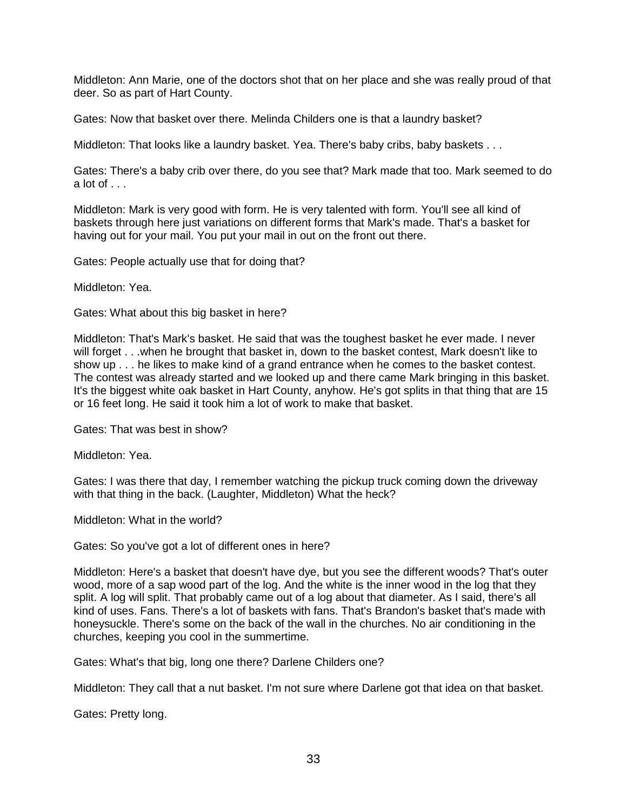Middleton: Ann Marie, one of the doctors shot that on her place and she was really proud of that deer. So as part of Hart County.

Gates: Now that basket over there. Melinda Childers one is that a laundry basket?

Middleton: That looks like a laundry basket. Yea. There's baby cribs, baby baskets . . .

Gates: There's a baby crib over there, do you see that? Mark made that too. Mark seemed to do a lot of  $\ldots$ 

Middleton: Mark is very good with form. He is very talented with form. You'll see all kind of baskets through here just variations on different forms that Mark's made. That's a basket for having out for your mail. You put your mail in out on the front out there.

Gates: People actually use that for doing that?

Middleton: Yea.

Gates: What about this big basket in here?

Middleton: That's Mark's basket. He said that was the toughest basket he ever made. I never will forget . . .when he brought that basket in, down to the basket contest, Mark doesn't like to show up . . . he likes to make kind of a grand entrance when he comes to the basket contest. The contest was already started and we looked up and there came Mark bringing in this basket. It's the biggest white oak basket in Hart County, anyhow. He's got splits in that thing that are 15 or 16 feet long. He said it took him a lot of work to make that basket.

Gates: That was best in show?

Middleton: Yea.

Gates: I was there that day, I remember watching the pickup truck coming down the driveway with that thing in the back. (Laughter, Middleton) What the heck?

Middleton: What in the world?

Gates: So you've got a lot of different ones in here?

Middleton: Here's a basket that doesn't have dye, but you see the different woods? That's outer wood, more of a sap wood part of the log. And the white is the inner wood in the log that they split. A log will split. That probably came out of a log about that diameter. As I said, there's all kind of uses. Fans. There's a lot of baskets with fans. That's Brandon's basket that's made with honeysuckle. There's some on the back of the wall in the churches. No air conditioning in the churches, keeping you cool in the summertime.

Gates: What's that big, long one there? Darlene Childers one?

Middleton: They call that a nut basket. I'm not sure where Darlene got that idea on that basket.

Gates: Pretty long.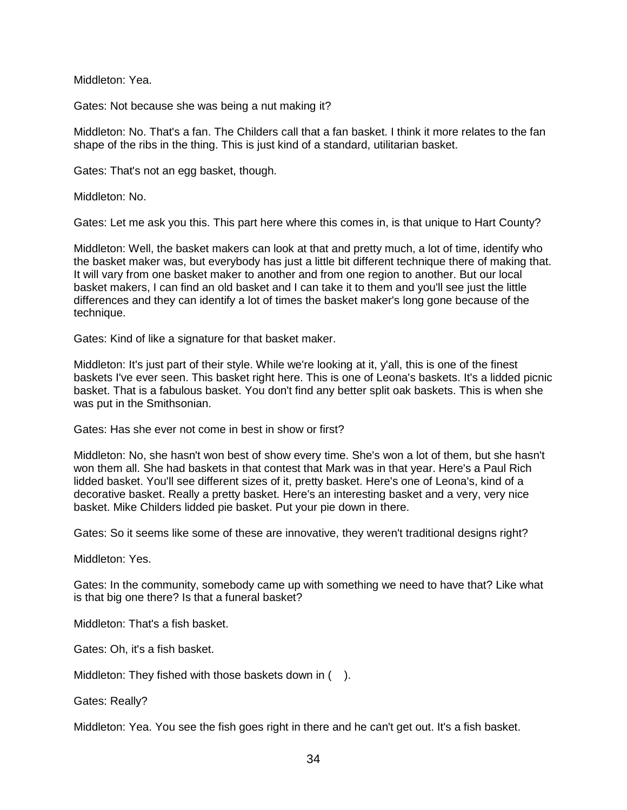Middleton: Yea.

Gates: Not because she was being a nut making it?

Middleton: No. That's a fan. The Childers call that a fan basket. I think it more relates to the fan shape of the ribs in the thing. This is just kind of a standard, utilitarian basket.

Gates: That's not an egg basket, though.

Middleton: No.

Gates: Let me ask you this. This part here where this comes in, is that unique to Hart County?

Middleton: Well, the basket makers can look at that and pretty much, a lot of time, identify who the basket maker was, but everybody has just a little bit different technique there of making that. It will vary from one basket maker to another and from one region to another. But our local basket makers, I can find an old basket and I can take it to them and you'll see just the little differences and they can identify a lot of times the basket maker's long gone because of the technique.

Gates: Kind of like a signature for that basket maker.

Middleton: It's just part of their style. While we're looking at it, y'all, this is one of the finest baskets I've ever seen. This basket right here. This is one of Leona's baskets. It's a lidded picnic basket. That is a fabulous basket. You don't find any better split oak baskets. This is when she was put in the Smithsonian.

Gates: Has she ever not come in best in show or first?

Middleton: No, she hasn't won best of show every time. She's won a lot of them, but she hasn't won them all. She had baskets in that contest that Mark was in that year. Here's a Paul Rich lidded basket. You'll see different sizes of it, pretty basket. Here's one of Leona's, kind of a decorative basket. Really a pretty basket. Here's an interesting basket and a very, very nice basket. Mike Childers lidded pie basket. Put your pie down in there.

Gates: So it seems like some of these are innovative, they weren't traditional designs right?

Middleton: Yes.

Gates: In the community, somebody came up with something we need to have that? Like what is that big one there? Is that a funeral basket?

Middleton: That's a fish basket.

Gates: Oh, it's a fish basket.

Middleton: They fished with those baskets down in ().

Gates: Really?

Middleton: Yea. You see the fish goes right in there and he can't get out. It's a fish basket.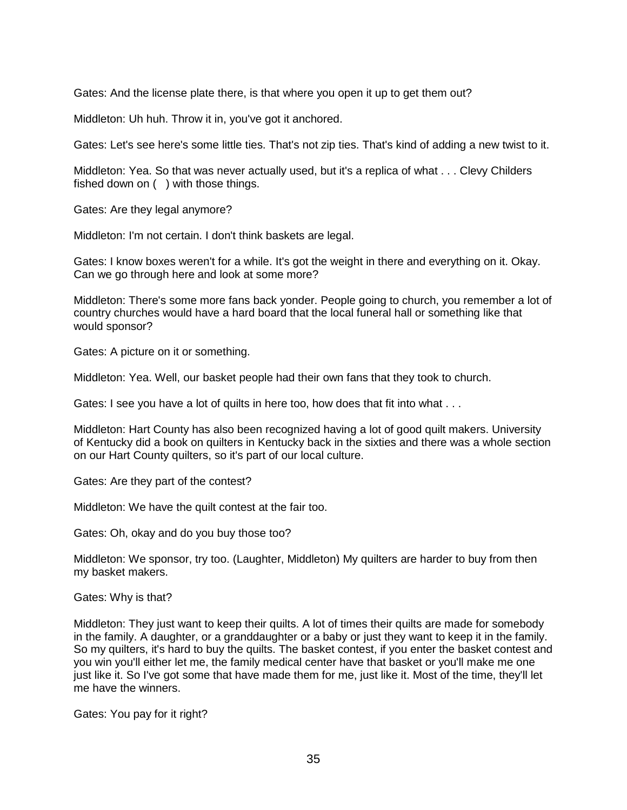Gates: And the license plate there, is that where you open it up to get them out?

Middleton: Uh huh. Throw it in, you've got it anchored.

Gates: Let's see here's some little ties. That's not zip ties. That's kind of adding a new twist to it.

Middleton: Yea. So that was never actually used, but it's a replica of what . . . Clevy Childers fished down on ( ) with those things.

Gates: Are they legal anymore?

Middleton: I'm not certain. I don't think baskets are legal.

Gates: I know boxes weren't for a while. It's got the weight in there and everything on it. Okay. Can we go through here and look at some more?

Middleton: There's some more fans back yonder. People going to church, you remember a lot of country churches would have a hard board that the local funeral hall or something like that would sponsor?

Gates: A picture on it or something.

Middleton: Yea. Well, our basket people had their own fans that they took to church.

Gates: I see you have a lot of quilts in here too, how does that fit into what . . .

Middleton: Hart County has also been recognized having a lot of good quilt makers. University of Kentucky did a book on quilters in Kentucky back in the sixties and there was a whole section on our Hart County quilters, so it's part of our local culture.

Gates: Are they part of the contest?

Middleton: We have the quilt contest at the fair too.

Gates: Oh, okay and do you buy those too?

Middleton: We sponsor, try too. (Laughter, Middleton) My quilters are harder to buy from then my basket makers.

Gates: Why is that?

Middleton: They just want to keep their quilts. A lot of times their quilts are made for somebody in the family. A daughter, or a granddaughter or a baby or just they want to keep it in the family. So my quilters, it's hard to buy the quilts. The basket contest, if you enter the basket contest and you win you'll either let me, the family medical center have that basket or you'll make me one just like it. So I've got some that have made them for me, just like it. Most of the time, they'll let me have the winners.

Gates: You pay for it right?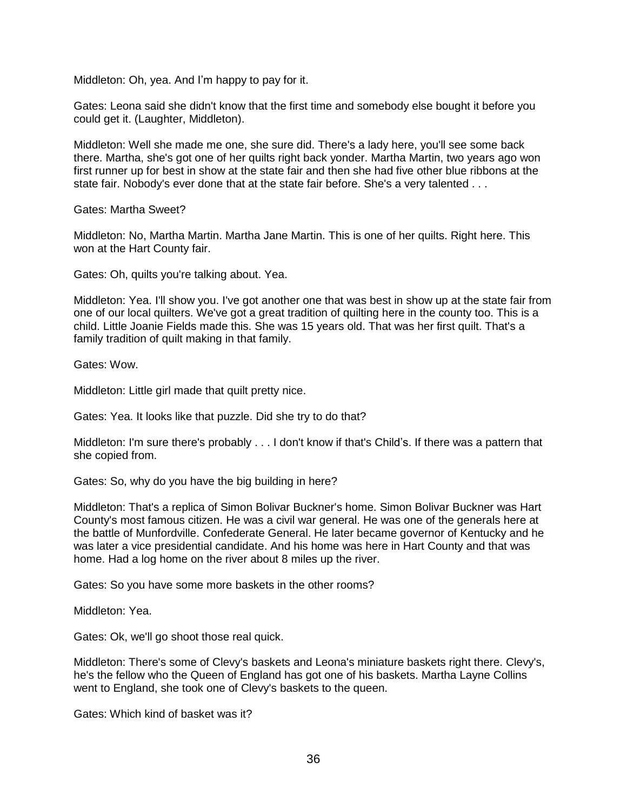Middleton: Oh, yea. And I'm happy to pay for it.

Gates: Leona said she didn't know that the first time and somebody else bought it before you could get it. (Laughter, Middleton).

Middleton: Well she made me one, she sure did. There's a lady here, you'll see some back there. Martha, she's got one of her quilts right back yonder. Martha Martin, two years ago won first runner up for best in show at the state fair and then she had five other blue ribbons at the state fair. Nobody's ever done that at the state fair before. She's a very talented . . .

Gates: Martha Sweet?

Middleton: No, Martha Martin. Martha Jane Martin. This is one of her quilts. Right here. This won at the Hart County fair.

Gates: Oh, quilts you're talking about. Yea.

Middleton: Yea. I'll show you. I've got another one that was best in show up at the state fair from one of our local quilters. We've got a great tradition of quilting here in the county too. This is a child. Little Joanie Fields made this. She was 15 years old. That was her first quilt. That's a family tradition of quilt making in that family.

Gates: Wow.

Middleton: Little girl made that quilt pretty nice.

Gates: Yea. It looks like that puzzle. Did she try to do that?

Middleton: I'm sure there's probably . . . I don't know if that's Child's. If there was a pattern that she copied from.

Gates: So, why do you have the big building in here?

Middleton: That's a replica of Simon Bolivar Buckner's home. Simon Bolivar Buckner was Hart County's most famous citizen. He was a civil war general. He was one of the generals here at the battle of Munfordville. Confederate General. He later became governor of Kentucky and he was later a vice presidential candidate. And his home was here in Hart County and that was home. Had a log home on the river about 8 miles up the river.

Gates: So you have some more baskets in the other rooms?

Middleton: Yea.

Gates: Ok, we'll go shoot those real quick.

Middleton: There's some of Clevy's baskets and Leona's miniature baskets right there. Clevy's, he's the fellow who the Queen of England has got one of his baskets. Martha Layne Collins went to England, she took one of Clevy's baskets to the queen.

Gates: Which kind of basket was it?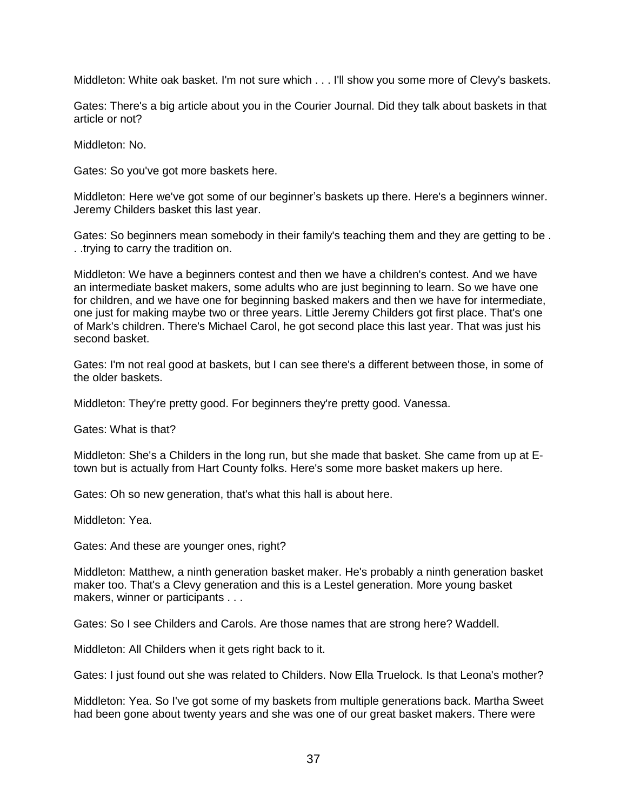Middleton: White oak basket. I'm not sure which . . . I'll show you some more of Clevy's baskets.

Gates: There's a big article about you in the Courier Journal. Did they talk about baskets in that article or not?

Middleton: No.

Gates: So you've got more baskets here.

Middleton: Here we've got some of our beginner's baskets up there. Here's a beginners winner. Jeremy Childers basket this last year.

Gates: So beginners mean somebody in their family's teaching them and they are getting to be . . .trying to carry the tradition on.

Middleton: We have a beginners contest and then we have a children's contest. And we have an intermediate basket makers, some adults who are just beginning to learn. So we have one for children, and we have one for beginning basked makers and then we have for intermediate, one just for making maybe two or three years. Little Jeremy Childers got first place. That's one of Mark's children. There's Michael Carol, he got second place this last year. That was just his second basket.

Gates: I'm not real good at baskets, but I can see there's a different between those, in some of the older baskets.

Middleton: They're pretty good. For beginners they're pretty good. Vanessa.

Gates: What is that?

Middleton: She's a Childers in the long run, but she made that basket. She came from up at Etown but is actually from Hart County folks. Here's some more basket makers up here.

Gates: Oh so new generation, that's what this hall is about here.

Middleton: Yea.

Gates: And these are younger ones, right?

Middleton: Matthew, a ninth generation basket maker. He's probably a ninth generation basket maker too. That's a Clevy generation and this is a Lestel generation. More young basket makers, winner or participants . . .

Gates: So I see Childers and Carols. Are those names that are strong here? Waddell.

Middleton: All Childers when it gets right back to it.

Gates: I just found out she was related to Childers. Now Ella Truelock. Is that Leona's mother?

Middleton: Yea. So I've got some of my baskets from multiple generations back. Martha Sweet had been gone about twenty years and she was one of our great basket makers. There were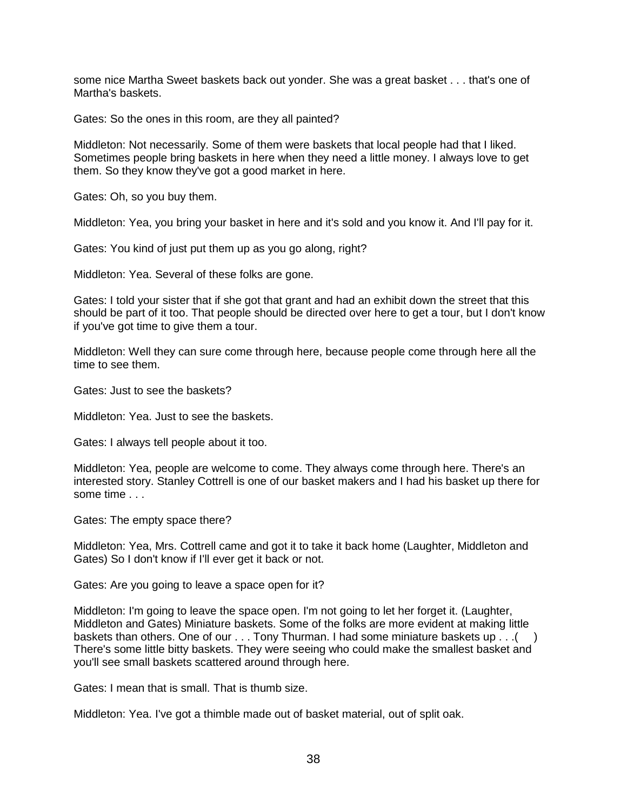some nice Martha Sweet baskets back out yonder. She was a great basket . . . that's one of Martha's baskets.

Gates: So the ones in this room, are they all painted?

Middleton: Not necessarily. Some of them were baskets that local people had that I liked. Sometimes people bring baskets in here when they need a little money. I always love to get them. So they know they've got a good market in here.

Gates: Oh, so you buy them.

Middleton: Yea, you bring your basket in here and it's sold and you know it. And I'll pay for it.

Gates: You kind of just put them up as you go along, right?

Middleton: Yea. Several of these folks are gone.

Gates: I told your sister that if she got that grant and had an exhibit down the street that this should be part of it too. That people should be directed over here to get a tour, but I don't know if you've got time to give them a tour.

Middleton: Well they can sure come through here, because people come through here all the time to see them.

Gates: Just to see the baskets?

Middleton: Yea. Just to see the baskets.

Gates: I always tell people about it too.

Middleton: Yea, people are welcome to come. They always come through here. There's an interested story. Stanley Cottrell is one of our basket makers and I had his basket up there for some time . . .

Gates: The empty space there?

Middleton: Yea, Mrs. Cottrell came and got it to take it back home (Laughter, Middleton and Gates) So I don't know if I'll ever get it back or not.

Gates: Are you going to leave a space open for it?

Middleton: I'm going to leave the space open. I'm not going to let her forget it. (Laughter, Middleton and Gates) Miniature baskets. Some of the folks are more evident at making little baskets than others. One of our . . . Tony Thurman. I had some miniature baskets up . . . ( There's some little bitty baskets. They were seeing who could make the smallest basket and you'll see small baskets scattered around through here.

Gates: I mean that is small. That is thumb size.

Middleton: Yea. I've got a thimble made out of basket material, out of split oak.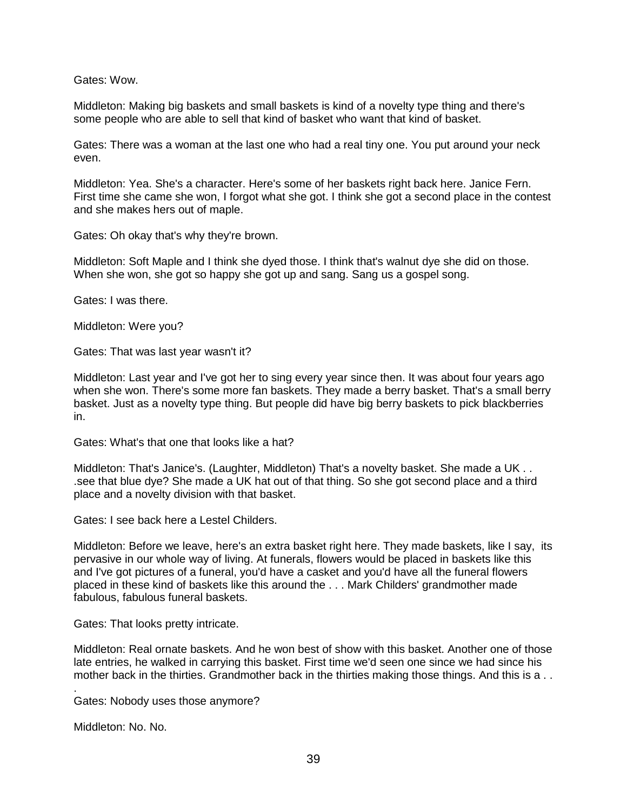Gates: Wow.

Middleton: Making big baskets and small baskets is kind of a novelty type thing and there's some people who are able to sell that kind of basket who want that kind of basket.

Gates: There was a woman at the last one who had a real tiny one. You put around your neck even.

Middleton: Yea. She's a character. Here's some of her baskets right back here. Janice Fern. First time she came she won, I forgot what she got. I think she got a second place in the contest and she makes hers out of maple.

Gates: Oh okay that's why they're brown.

Middleton: Soft Maple and I think she dyed those. I think that's walnut dye she did on those. When she won, she got so happy she got up and sang. Sang us a gospel song.

Gates: I was there.

Middleton: Were you?

Gates: That was last year wasn't it?

Middleton: Last year and I've got her to sing every year since then. It was about four years ago when she won. There's some more fan baskets. They made a berry basket. That's a small berry basket. Just as a novelty type thing. But people did have big berry baskets to pick blackberries in.

Gates: What's that one that looks like a hat?

Middleton: That's Janice's. (Laughter, Middleton) That's a novelty basket. She made a UK . . .see that blue dye? She made a UK hat out of that thing. So she got second place and a third place and a novelty division with that basket.

Gates: I see back here a Lestel Childers.

Middleton: Before we leave, here's an extra basket right here. They made baskets, like I say, its pervasive in our whole way of living. At funerals, flowers would be placed in baskets like this and I've got pictures of a funeral, you'd have a casket and you'd have all the funeral flowers placed in these kind of baskets like this around the . . . Mark Childers' grandmother made fabulous, fabulous funeral baskets.

Gates: That looks pretty intricate.

Middleton: Real ornate baskets. And he won best of show with this basket. Another one of those late entries, he walked in carrying this basket. First time we'd seen one since we had since his mother back in the thirties. Grandmother back in the thirties making those things. And this is a . .

. Gates: Nobody uses those anymore?

Middleton: No. No.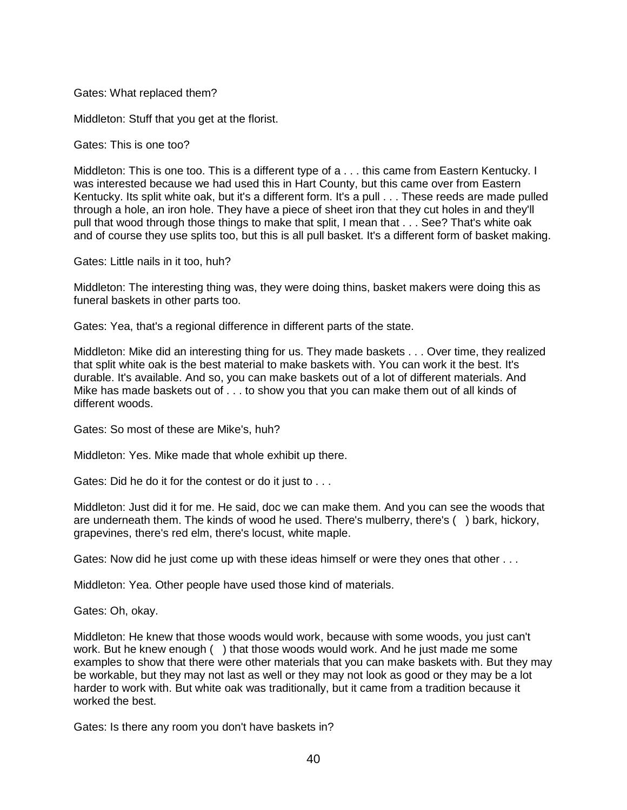Gates: What replaced them?

Middleton: Stuff that you get at the florist.

Gates: This is one too?

Middleton: This is one too. This is a different type of a . . . this came from Eastern Kentucky. I was interested because we had used this in Hart County, but this came over from Eastern Kentucky. Its split white oak, but it's a different form. It's a pull . . . These reeds are made pulled through a hole, an iron hole. They have a piece of sheet iron that they cut holes in and they'll pull that wood through those things to make that split, I mean that . . . See? That's white oak and of course they use splits too, but this is all pull basket. It's a different form of basket making.

Gates: Little nails in it too, huh?

Middleton: The interesting thing was, they were doing thins, basket makers were doing this as funeral baskets in other parts too.

Gates: Yea, that's a regional difference in different parts of the state.

Middleton: Mike did an interesting thing for us. They made baskets . . . Over time, they realized that split white oak is the best material to make baskets with. You can work it the best. It's durable. It's available. And so, you can make baskets out of a lot of different materials. And Mike has made baskets out of . . . to show you that you can make them out of all kinds of different woods.

Gates: So most of these are Mike's, huh?

Middleton: Yes. Mike made that whole exhibit up there.

Gates: Did he do it for the contest or do it just to . . .

Middleton: Just did it for me. He said, doc we can make them. And you can see the woods that are underneath them. The kinds of wood he used. There's mulberry, there's ( ) bark, hickory, grapevines, there's red elm, there's locust, white maple.

Gates: Now did he just come up with these ideas himself or were they ones that other ...

Middleton: Yea. Other people have used those kind of materials.

Gates: Oh, okay.

Middleton: He knew that those woods would work, because with some woods, you just can't work. But he knew enough ( ) that those woods would work. And he just made me some examples to show that there were other materials that you can make baskets with. But they may be workable, but they may not last as well or they may not look as good or they may be a lot harder to work with. But white oak was traditionally, but it came from a tradition because it worked the best.

Gates: Is there any room you don't have baskets in?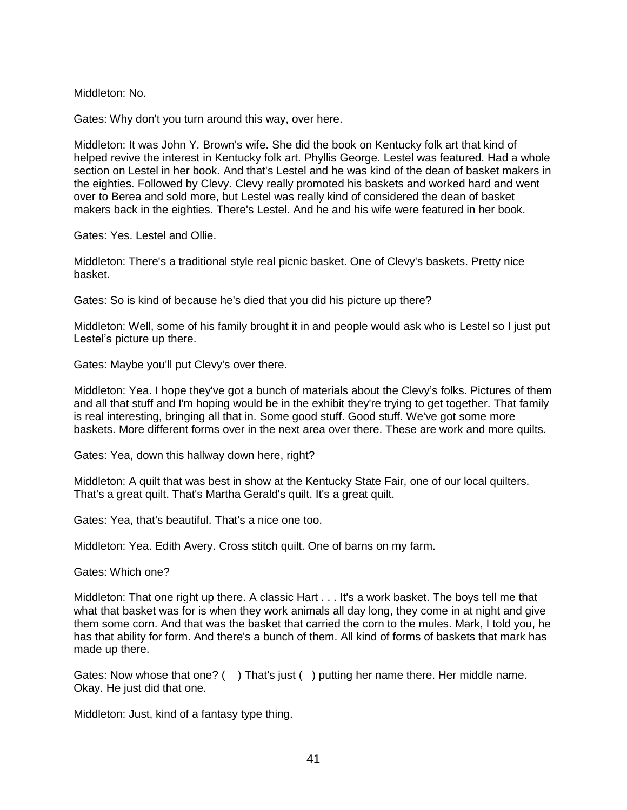Middleton: No.

Gates: Why don't you turn around this way, over here.

Middleton: It was John Y. Brown's wife. She did the book on Kentucky folk art that kind of helped revive the interest in Kentucky folk art. Phyllis George. Lestel was featured. Had a whole section on Lestel in her book. And that's Lestel and he was kind of the dean of basket makers in the eighties. Followed by Clevy. Clevy really promoted his baskets and worked hard and went over to Berea and sold more, but Lestel was really kind of considered the dean of basket makers back in the eighties. There's Lestel. And he and his wife were featured in her book.

Gates: Yes. Lestel and Ollie.

Middleton: There's a traditional style real picnic basket. One of Clevy's baskets. Pretty nice basket.

Gates: So is kind of because he's died that you did his picture up there?

Middleton: Well, some of his family brought it in and people would ask who is Lestel so I just put Lestel's picture up there.

Gates: Maybe you'll put Clevy's over there.

Middleton: Yea. I hope they've got a bunch of materials about the Clevy's folks. Pictures of them and all that stuff and I'm hoping would be in the exhibit they're trying to get together. That family is real interesting, bringing all that in. Some good stuff. Good stuff. We've got some more baskets. More different forms over in the next area over there. These are work and more quilts.

Gates: Yea, down this hallway down here, right?

Middleton: A quilt that was best in show at the Kentucky State Fair, one of our local quilters. That's a great quilt. That's Martha Gerald's quilt. It's a great quilt.

Gates: Yea, that's beautiful. That's a nice one too.

Middleton: Yea. Edith Avery. Cross stitch quilt. One of barns on my farm.

Gates: Which one?

Middleton: That one right up there. A classic Hart . . . It's a work basket. The boys tell me that what that basket was for is when they work animals all day long, they come in at night and give them some corn. And that was the basket that carried the corn to the mules. Mark, I told you, he has that ability for form. And there's a bunch of them. All kind of forms of baskets that mark has made up there.

Gates: Now whose that one? () That's just () putting her name there. Her middle name. Okay. He just did that one.

Middleton: Just, kind of a fantasy type thing.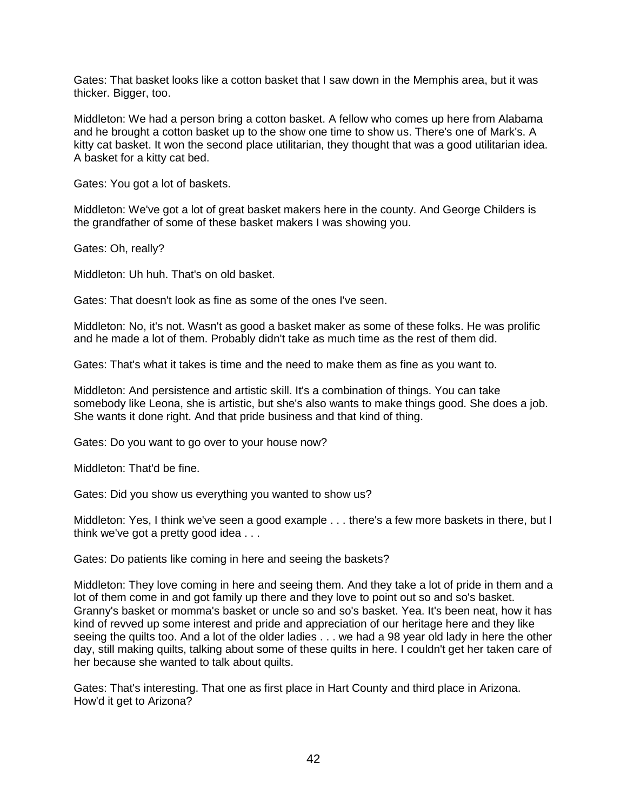Gates: That basket looks like a cotton basket that I saw down in the Memphis area, but it was thicker. Bigger, too.

Middleton: We had a person bring a cotton basket. A fellow who comes up here from Alabama and he brought a cotton basket up to the show one time to show us. There's one of Mark's. A kitty cat basket. It won the second place utilitarian, they thought that was a good utilitarian idea. A basket for a kitty cat bed.

Gates: You got a lot of baskets.

Middleton: We've got a lot of great basket makers here in the county. And George Childers is the grandfather of some of these basket makers I was showing you.

Gates: Oh, really?

Middleton: Uh huh. That's on old basket.

Gates: That doesn't look as fine as some of the ones I've seen.

Middleton: No, it's not. Wasn't as good a basket maker as some of these folks. He was prolific and he made a lot of them. Probably didn't take as much time as the rest of them did.

Gates: That's what it takes is time and the need to make them as fine as you want to.

Middleton: And persistence and artistic skill. It's a combination of things. You can take somebody like Leona, she is artistic, but she's also wants to make things good. She does a job. She wants it done right. And that pride business and that kind of thing.

Gates: Do you want to go over to your house now?

Middleton: That'd be fine.

Gates: Did you show us everything you wanted to show us?

Middleton: Yes, I think we've seen a good example . . . there's a few more baskets in there, but I think we've got a pretty good idea . . .

Gates: Do patients like coming in here and seeing the baskets?

Middleton: They love coming in here and seeing them. And they take a lot of pride in them and a lot of them come in and got family up there and they love to point out so and so's basket. Granny's basket or momma's basket or uncle so and so's basket. Yea. It's been neat, how it has kind of revved up some interest and pride and appreciation of our heritage here and they like seeing the quilts too. And a lot of the older ladies . . . we had a 98 year old lady in here the other day, still making quilts, talking about some of these quilts in here. I couldn't get her taken care of her because she wanted to talk about quilts.

Gates: That's interesting. That one as first place in Hart County and third place in Arizona. How'd it get to Arizona?